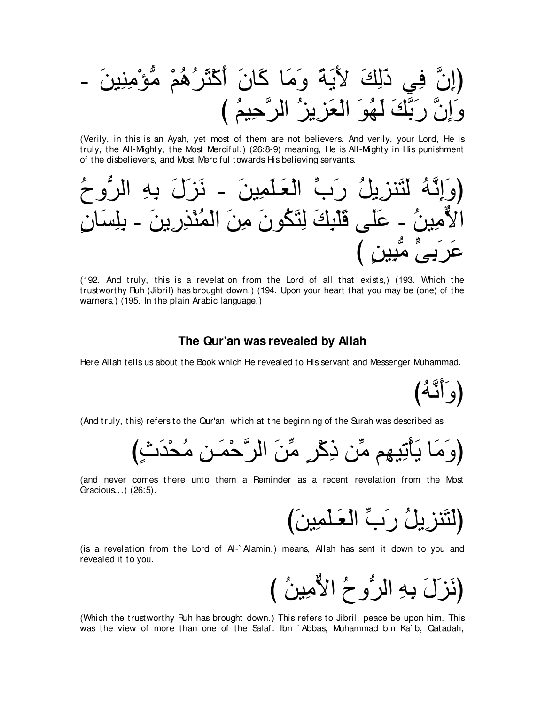(Verily, in this is an Ayah, yet most of them are not believers. And verily, your Lord, He is truly, the All-Mighty, the Most Merciful.) (26:8-9) meaning, He is All-Mighty in His punishment of the disbelievers, and Most Merciful towards His believing servants.



(192. And truly, this is a revelation from the Lord of all that exists,) (193. Which the trustworthy Ruh (Jibril) has brought down.) (194. Upon your heart that you may be (one) of the warners.) (195. In the plain Arabic language.)

## The Qur'an was revealed by Allah

Here Allah tells us about the Book which He revealed to His servant and Messenger Muhammad.

(وَ أَنَّهُ)

(And truly, this) refers to the Qur'an, which at the beginning of the Surah was described as

(and never comes there unto them a Reminder as a recent revelation from the Most Gracious...) (26:5).

(لَتَنزِيلُ رَبِّ الْعَلْمِينَ)

(is a revelation from the Lord of AI-`Alamin.) means, Allah has sent it down to you and revealed it to you.

(نَزِلَ بِهِ الرُّوحُ الأَمِينُ )

(Which the trustworthy Ruh has brought down.) This refers to Jibril, peace be upon him. This was the view of more than one of the Salaf: Ibn `Abbas, Muhammad bin Ka`b, Qatadah,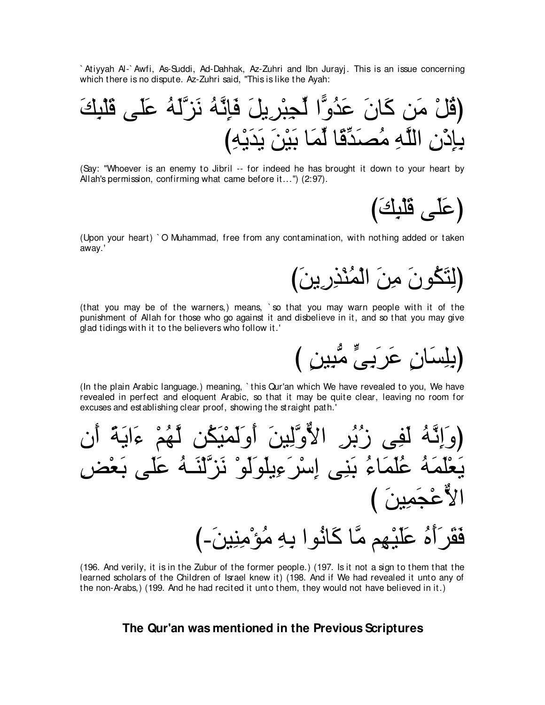`Atiyyah Al-`Awfi, As-Suddi, Ad-Dahhak, Az-Zuhri and Ibn Jurayj. This is an issue concerning which there is no dispute. Az-Zuhri said, "This is like the Ayah:

(Say: "Whoever is an enemy to Jibril -- for indeed he has brought it down to your heart by Allah's permission, confirming what came before it...") (2:97).

(عَلَى قَلْبِكَ)

(Upon your heart) `O Muhammad, free from any contamination, with nothing added or taken away.'

(لِتَكُونَ مِنَ الْمُنْذِرِينَ)

(بِلِسَانِ عَرَبِيٍّ مُّبِينِ )

(that you may be of the warners,) means, `so that you may warn people with it of the punishment of Allah for those who go against it and disbelieve in it, and so that you may give glad tidings with it to the believers who follow it.'

(In the plain Arabic language.) meaning, 'this Qur'an which We have revealed to you, We have revealed in perfect and eloquent Arabic, so that it may be quite clear, leaving no room for excuses and establishing clear proof, showing the straight path.'

(196. And verily, it is in the Zubur of the former people.) (197. Is it not a sign to them that the learned scholars of the Children of Israel knew it) (198. And if We had revealed it unto any of the non-Arabs,) (199. And he had recited it unto them, they would not have believed in it.)

# The Qur'an was mentioned in the Previous Scriptures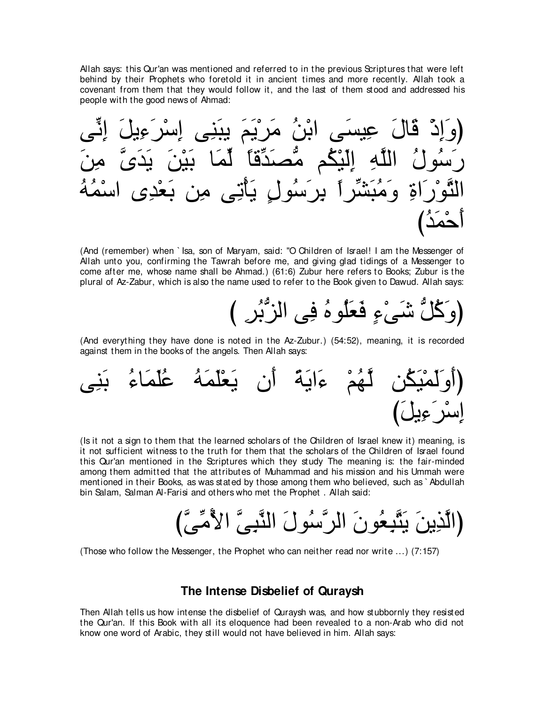Allah says: this Qur'an was mentioned and referred to in the previous Scriptures that were left behind by their Prophets who foretold it in ancient times and more recently. Allah took a covenant from them that they would follow it, and the last of them stood and addressed his people with the good news of Ahmad:

ヴあル⌒ま ∠モΑ⌒¬∠ゲ∇シ⌒ま ヴ⌒レ∠らΑ ∠ユ∠Α∇ゲ∠ョ ⊥リ∇よや ヴ∠ジΒ⌒ハ ∠メゅ∠ホ ∇ク⌒ま∠ヱぴ ∠リ⌒ョ zン∠ギ∠Α ∠リ∇Β∠よ ゅ∠ヨあャ ⇔ゅホあギ∠ダぁョ ユ⊥ム∇Β∠ャ⌒ま ⌒ヮzヤャや ⊥メヲ⊥シ∠ケ ⊥ヮ⊥ヨ∇シや ン⌒ギ∇バ∠よ リ⌒ョ ヴ⌒ゎ∇ほ∠Α ∃メヲ⊥シ∠ゲ⌒よ ⇔やゲあゼ∠ら⊥ョ∠ヱ ⌒りや∠ケ∇ヲzわャや び⊥ギ∠ヨ∇ェ∠ぺ

(And (remember) when ` Isa, son of Maryam, said: "O Children of Israel! I am the Messenger of Allah unto you, confirming the Tawrah before me, and giving glad tidings of a Messenger to come after me, whose name shall be Ahmad.) (61:6) Zubur here refers to Books; Zubur is the plural of Az-Zabur, which is also the name used to refer to the Book given to Dawud. Allah says:



(And everything they have done is noted in the Az-Zubur.) (54:52), meaning, it is recorded against them in the books of the angels. Then Allah says:



(Is it not a sign to them that the learned scholars of the Children of Israel knew it) meaning, is it not sufficient witness to the truth for them that the scholars of the Children of Israel found this Qur'an mentioned in the Scriptures which they study The meaning is: the fair-minded among them admitted that the attributes of Muhammad and his mission and his Ummah were mentioned in their Books, as was stated by those among them who believed, such as ` Abdullah bin Salam, Salman Al-Farisi and others who met the Prophet . Allah said:

びzヴあョ⊥Εや zヴ⌒らzレャや ∠メヲ⊥シzゲャや ∠ラヲ⊥バ⌒らzわ∠Α ∠リΑ⌒グzャやぴ

(Those who follow the Messenger, the Prophet who can neither read nor write ...) (7:157)

## **The Intense Disbelief of Quraysh**

Then Allah tells us how intense the disbelief of Quraysh was, and how stubbornly they resisted the Qur'an. If this Book with all its eloquence had been revealed to a non-Arab who did not know one word of Arabic, they still would not have believed in him. Allah says: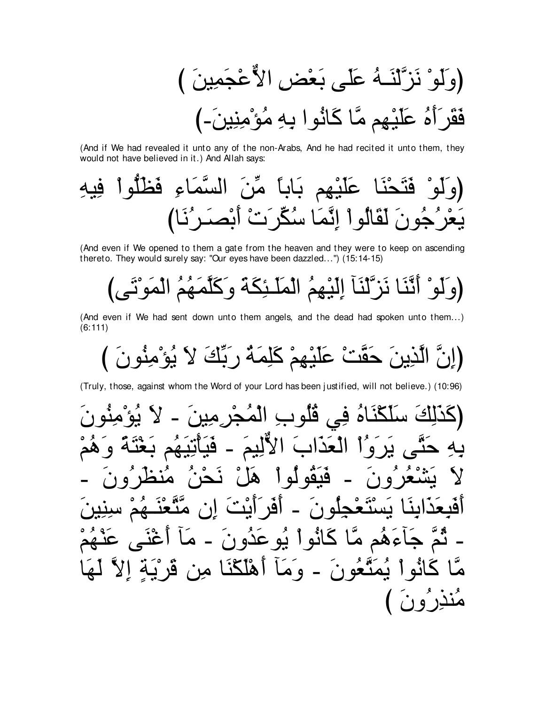(And if We had revealed it unto any of the non-Arabs, And he had recited it unto them, they would not have believed in it.) And Allah says:

(And even if We opened to them a gate from the heaven and they were to keep on ascending thereto. They would surely say: "Our eyes have been dazzled...") (15:14-15)

(And even if We had sent down unto them angels, and the dead had spoken unto them...)  $(6:111)$ 

(Truly, those, against whom the Word of your Lord has been justified, will not believe.) (10:96)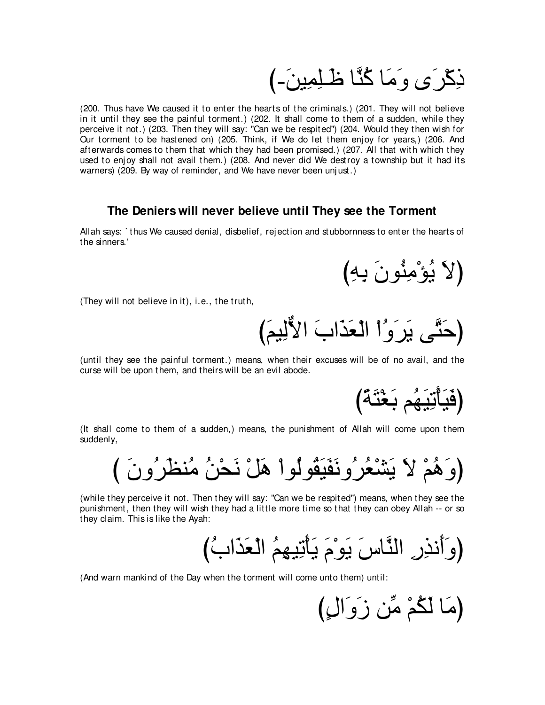ذِكْر َي وَ مَا كُنَّا ظَـلِمِينَ۔)

(200. Thus have We caused it to enter the hearts of the criminals.) (201. They will not believe in it until they see the painful torment.) (202. It shall come to them of a sudden, while they perceive it not.) (203. Then they will say: "Can we be respited'') (204. Would they then wish for Our torment to be hastened on) (205. Think, if We do let them enj oy for years,) (206. And afterwards comes to them that which they had been promised.) (207. All that with which they used to enj oy shall not avail them.) (208. And never did We destroy a township but it had its warners) (209. By way of reminder, and We have never been unj ust.)

# **The Deniers will never believe until They see the Torment**

Allah says: ` thus We caused denial, disbelief, rej ection and stubbornness to enter the hearts of the sinners.'

(لَا يُوْمِنُونَ بِهِ)

(They will not believe in it), i.e., the truth,

(حَتَّى يَرَوُّا الْعَذَابَ الأُلِيمَ)

(until they see the painful torment.) means, when their excuses will be of no avail, and the curse will be upon them, and theirs will be an evil abode.

(فَيَأْتِيَهُم بَعْثَةٌ)

(It shall come to them of a sudden,) means, the punishment of Allah will come upon them suddenly,

(وَهُمْ لاَ يَشْعُرُونَقَيَقُولُواْ هَلْ نَحْنُ مُنظرُونَ )

(while they perceive it not. Then they will say: "Can we be respited'') means, when they see the punishment, then they will wish they had a little more time so that they can obey Allah -- or so they claim. This is like the Ayah:

び⊥ゆや∠グ∠バ∇ャや ⊥ユ⌒ヰΒ⌒ゎ∇ほ∠Α ∠ュ∇ヲ∠Α ∠サゅzレャや ⌒ケ⌒グル∠ぺ∠ヱぴ

(And warn mankind of the Day when the torment will come unto them) until:

(مَا لَكُمْ مِّن زَوَالٍ)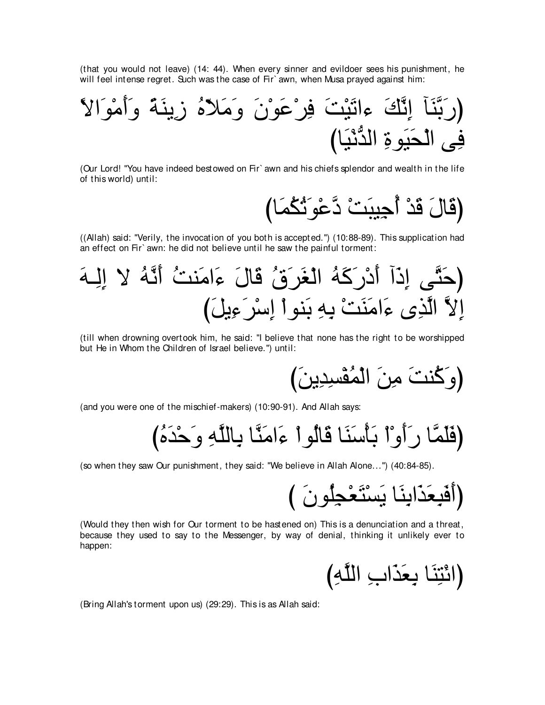(that you would not leave) (14: 44). When every sinner and evildoer sees his punishment, he will feel intense regret. Such was the case of Fir' awn, when Musa prayed against him:

⇔Ιや∠ヲ∇ョ∠ぺ∠ヱ ⇔る∠レΑ⌒コ ⊥ロ∂Κ∠ョ∠ヱ ∠ラ∇ヲ∠ハ∇ゲ⌒プ ∠ろ∇Β∠ゎや¬ ∠マzル⌒ま べ∠レzよ∠ケぴ びゅ∠Β∇ルぁギャや ⌒りヲ∠Β∠エ∇ャや ヴ⌒プ

(Our Lord! "You have indeed bestowed on Fir` awn and his chiefs splendor and wealth in the life of this world) until:

{قَالَ قَدْ أُجِيِبَتْ دَّعْوَنٌكُمَا)

((Allah) said: "Verily, the invocation of you both is accepted.'') (10:88-89). This supplication had an effect on Fir` awn: he did not believe until he saw the painful torment:

∠ヮ⇒⌒ャ⌒ま Ι ⊥ヮzル∠ぺ ⊥ろレ∠ョや∠¬ ∠メゅ∠ホ ⊥ベ∠ゲ∠ピ∇ャや ⊥ヮ∠ミ∠ケ∇キ∠ぺ へ∠ク⌒ま ヴzわ∠ェぴ び∠モΑ⌒¬∠ゲ∇シ⌒ま ∇やヲレ∠よ ⌒ヮ⌒よ ∇ろ∠レ∠ョや∠¬ ン⌒グzャや zΙ⌒ま

(till when drowning overtook him, he said: "I believe that none has the right to be worshipped but He in Whom the Children of Israel believe.'') until:

び∠リΑ⌒ギ⌒ジ∇ヘ⊥ヨ∇ャや ∠リ⌒ョ ∠ろレ⊥ミ∠ヱぴ

(and you were one of the mischief-makers) (10:90-91). And Allah says:

び⊥ロ∠ギ∇ェ∠ヱ ⌒ヮzヤャゅ⌒よ ゅzレ∠ョや∠¬ ∇やヲ⊥ャゅ∠ホ ゅ∠レ∠シ∇ほ∠よ ∇や∇ヱ∠ぺ∠ケ ゅzヨ∠ヤ∠プぴ

(so when they saw Our punishment, they said: "We believe in Allah Alone...'') (40:84-85).

び ∠ラヲ⊥ヤ⌒イ∇バ∠わ∇ジ∠Α ゅ∠レ⌒よや∠グ∠バ⌒ら∠プ∠ぺぴ

(Would they then wish for Our torment to be hastened on) This is a denunciation and a threat, because they used to say to the Messenger, by way of denial, thinking it unlikely ever to happen:

(ائْتِنَا بِعَذَابِ اللَّهِ)

(Bring Allah's torment upon us) (29:29). This is as Allah said: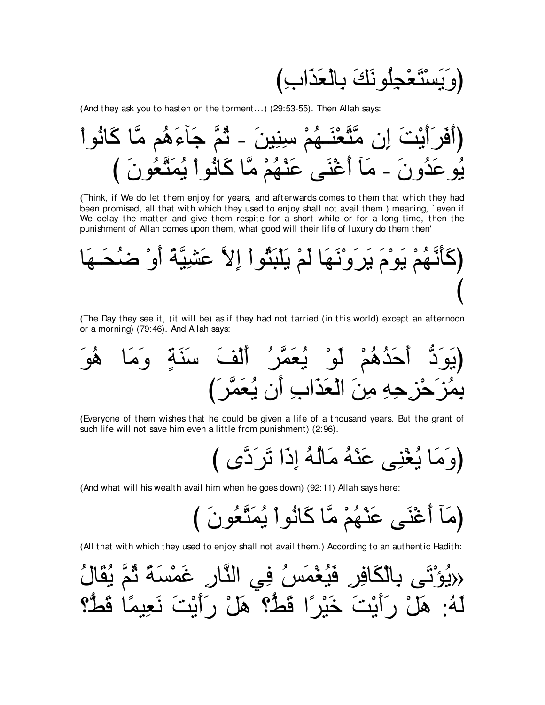بَسْتَعْجِلُو نَكَ بِالْعَذَابِ)

(And they ask you to hasten on the torment...) (29:53-55). Then Allah says:

(Think, if We do let them enjoy for years, and afterwards comes to them that which they had been promised, all that with which they used to enjoy shall not avail them.) meaning, `even if We delay the matter and give them respite for a short while or for a long time, then the punishment of Allah comes upon them, what good will their life of luxury do them then'

(The Day they see it, (it will be) as if they had not tarried (in this world) except an afternoon or a morning) (79:46). And Allah says:

(Everyone of them wishes that he could be given a life of a thousand years. But the grant of such life will not save him even a little from punishment) (2:96).

(And what will his wealth avail him when he goes down) (92:11) Allah says here:

(All that with which they used to enjoy shall not avail them.) According to an authentic Hadith:

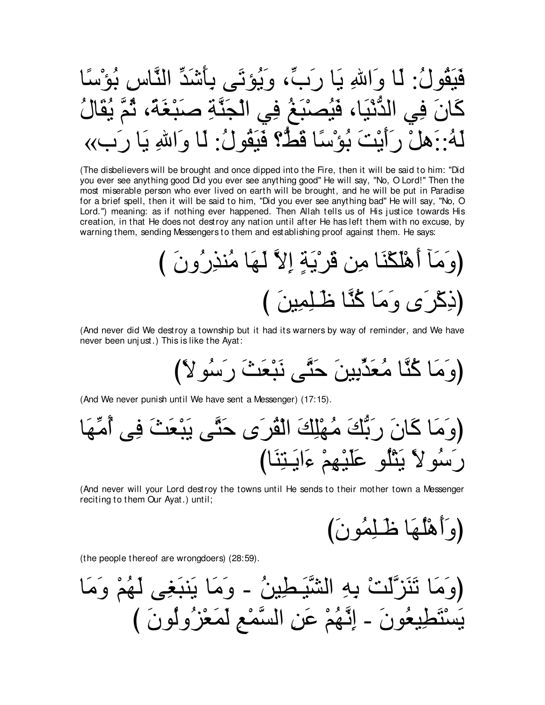(The disbelievers will be brought and once dipped into the Fire, then it will be said to him: "Did you ever see anything good Did you ever see anything good" He will say, "No, O Lord!" Then the most miserable person who ever lived on earth will be brought, and he will be put in Paradise for a brief spell, then it will be said to him, "Did you ever see anything bad" He will say, "No, O Lord.") meaning: as if nothing ever happened. Then Allah tells us of His justice towards His creation, in that He does not destroy any nation until after He has left them with no excuse, by warning them, sending Messengers to them and establishing proof against them. He says:

(And never did We destroy a township but it had its warners by way of reminder, and We have never been unjust.) This is like the Ayat:

(And We never punish until We have sent a Messenger) (17:15).

(And never will your Lord destroy the towns until He sends to their mother town a Messenger reciting to them Our Ayat.) until;

(the people thereof are wrongdoers) (28:59).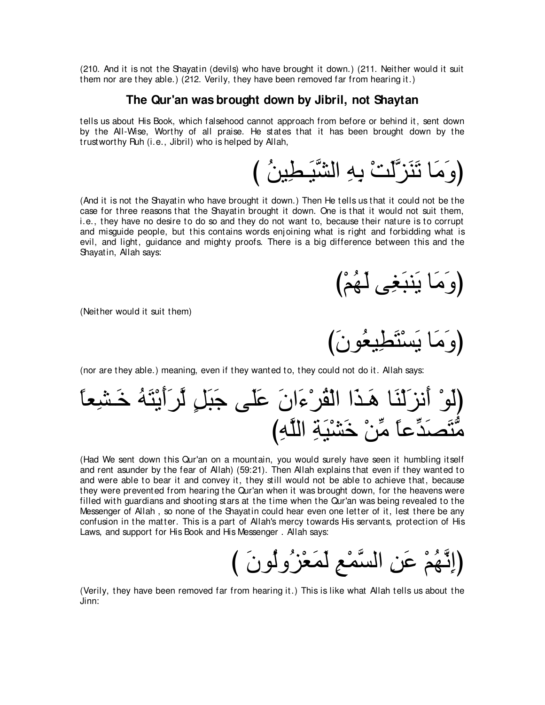(210. And it is not the Shayatin (devils) who have brought it down.) (211. Neither would it suit them nor are they able.) (212. Verily, they have been removed far from hearing it.)

#### **The Qur'an was brought down by Jibril, not Shaytan**

tells us about His Book, which falsehood cannot approach from before or behind it, sent down by the All-Wise, Worthy of all praise. He states that it has been brought down by the trustworthy Ruh (i.e., Jibril) who is helped by Allah,

び ⊥リΒ⌒ト⇒∠Βzゼャや ⌒ヮ⌒よ ∇ろ∠ャzゴ∠レ∠ゎ ゅ∠ョ∠ヱぴ

(And it is not the Shayatin who have brought it down.) Then He tells us that it could not be the case for three reasons that the Shayatin brought it down. One is that it would not suit them, i.e., they have no desire to do so and they do not want to, because their nature is to corrupt and misguide people, but this contains words enj oining what is right and forbidding what is evil, and light, guidance and mighty proofs. There is a big difference between this and the Shayatin, Allah says:

び∇ユ⊥ヰ∠ャ ヴ⌒ピ∠らレ∠Α ゅ∠ョ∠ヱぴ

(Neither would it suit them)

(وَ مَا يَسْتَطْيِعُو نَ)

(nor are they able.) meaning, even if they wanted to, they could not do it. Allah says:

⇔ゅバ⌒ゼ⇒∠カ ⊥ヮ∠わ∇Α∠ぺ∠ゲzャ ∃モ∠ら∠ィ ヴ∠ヤ∠ハ ∠ラや∠¬∇ゲ⊥ボ∇ャや や∠グ⇒∠ワ ゅ∠レ∇ャ∠ゴル∠ぺ ∇ヲ∠ャぴ び⌒ヮzヤャや ⌒る∠Β∇ゼ∠カ ∇リあョ ⇔ゅハあギ∠ダ∠わぁョ

(Had We sent down this Qur'an on a mountain, you would surely have seen it humbling itself and rent asunder by the fear of Allah) (59:21). Then Allah explains that even if they wanted to and were able to bear it and convey it, they still would not be able to achieve that, because they were prevented from hearing the Qur'an when it was brought down, for the heavens were filled with guardians and shooting stars at the time when the Qur'an was being revealed to the Messenger of Allah , so none of the Shayatin could hear even one letter of it, lest there be any confusion in the matter. This is a part of Allah's mercy towards His servants, protection of His Laws, and support for His Book and His Messenger . Allah says:

び ∠ラヲ⊥ャヱ⊥ゴ∇バ∠ヨ∠ャ ⌒ノ∇ヨzジャや ⌒リ∠ハ ∇ユ⊥ヰzル⌒まぴ

(Verily, they have been removed far from hearing it.) This is like what Allah tells us about the Jinn: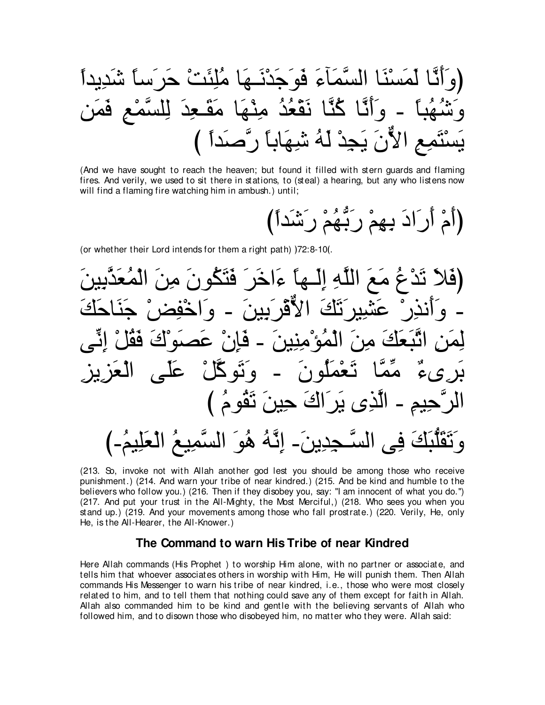(And we have sought to reach the heaven; but found it filled with stern guards and flaming fires. And verily, we used to sit there in stations, to (steal) a hearing, but any who listens now will find a flaming fire watching him in ambush.) until;

(أَمْ أَرَادَ بِهِمْ رَبُّهُمْ رَشَّداً)

(or whether their Lord intends for them a right path) )72:8-10(.

(213. So, invoke not with Allah another god lest you should be among those who receive punishment.) (214. And warn your tribe of near kindred.) (215. And be kind and humble to the believers who follow you.) (216. Then if they disobey you, say: "I am innocent of what you do.") (217. And put your trust in the All-Mighty, the Most Merciful,) (218. Who sees you when you stand up.) (219. And your movements among those who fall prostrate.) (220. Verily, He, only He, is the All-Hearer, the All-Knower.)

# The Command to warn His Tribe of near Kindred

Here Allah commands (His Prophet) to worship Him alone, with no partner or associate, and tells him that whoever associates others in worship with Him, He will punish them. Then Allah commands His Messenger to warn his tribe of near kindred, i.e., those who were most closely related to him, and to tell them that nothing could save any of them except for faith in Allah. Allah also commanded him to be kind and gentle with the believing servants of Allah who followed him, and to disown those who disobeyed him, no matter who they were. Allah said: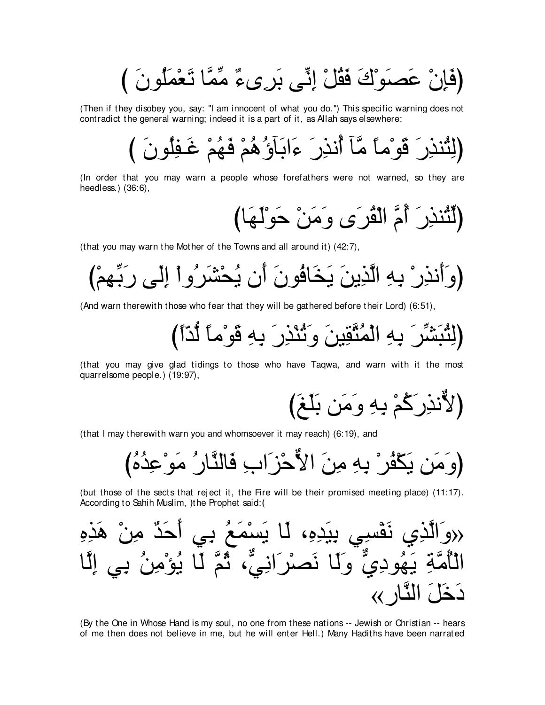(فَإِنْ عَصِبَوْكَ فَقُلْ إِنِّي بَرِيءٌ مِّمَّا تَعْمَلُونَ )

(Then if they disobey you, say: "I am innocent of what you do.") This specific warning does not contradict the general warning; indeed it is a part of it, as Allah says elsewhere:

(In order that you may warn a people whose forefathers were not warned, so they are heedless.)  $(36:6)$ ,

(لَنُنذِرَ أُمَّ الْقُرَى وَمَنْ حَوْلَهَا)

(that you may warn the Mother of the Towns and all around it) (42:7).

(And warn therewith those who fear that they will be gathered before their Lord) (6:51),

(لِثْبَشِّرَ بِهِ الْمُتَّقِينَ وَثُنْذِرَ بِهِ قَوْماً لَّذّاً)

(that you may give glad tidings to those who have Taqwa, and warn with it the most quarrelsome people.) (19:97),

(that I may therewith warn you and whomsoever it may reach) (6:19), and

(but those of the sects that reject it, the Fire will be their promised meeting place) (11:17). According to Sahih Muslim, )the Prophet said: (

(By the One in Whose Hand is my soul, no one from these nations -- Jewish or Christian -- hears of me then does not believe in me, but he will enter Hell.) Many Hadiths have been narrated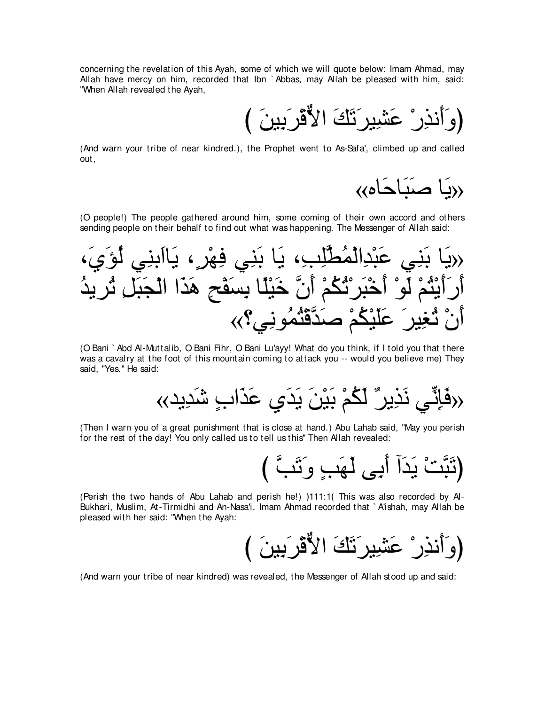concerning the revelation of this Ayah, some of which we will quote below: Imam Ahmad, may Allah have mercy on him, recorded that Ibn ` Abbas, may Allah be pleased with him, said: "When Allah revealed the Ayah,

び ∠リΒ⌒よ∠ゲ∇ホxΙや ∠マ∠ゎ∠ゲΒ⌒ゼ∠ハ ∇ケ⌒グル∠ぺ∠ヱぴ

(And warn your tribe of near kindred.), the Prophet went to As-Safa', climbed up and called out,

«بِيَا صَبَاحَاه»

(O people!) The people gathered around him, some coming of their own accord and others sending people on their behalf to find out what was happening. The Messenger of Allah said:



(O Bani ` Abd Al-Muttalib, O Bani Fihr, O Bani Lu'ayy! What do you think, if I told you that there was a cavalry at the foot of this mountain coming to attack you -- would you believe me) They said, "Yes.'' He said:

«ギΑ⌒ギ∠セ ∃ゆや∠グ∠ハ ヵ∠ギ∠Α ∠リ∇Β∠よ ∇ユ⊥ム∠ャ ∀ゲΑ⌒グ∠ル ヶあル⌒み∠プ»

(Then I warn you of a great punishment that is close at hand.) Abu Lahab said, "May you perish for the rest of the day! You only called us to tell us this'' Then Allah revealed:

{تَبَّتْ يَدَأُ أَبِي لَهَبِ وَتَبَّ }

(Perish the two hands of Abu Lahab and perish he!)  $111:1($  This was also recorded by Al-Bukhari, Muslim, At-Tirmidhi and An-Nasa'i. Imam Ahmad recorded that ` A'ishah, may Allah be pleased with her said: "When the Ayah:

び ∠リΒ⌒よ∠ゲ∇ホxΙや ∠マ∠ゎ∠ゲΒ⌒ゼ∠ハ ∇ケ⌒グル∠ぺ∠ヱぴ

(And warn your tribe of near kindred) was revealed, the Messenger of Allah stood up and said: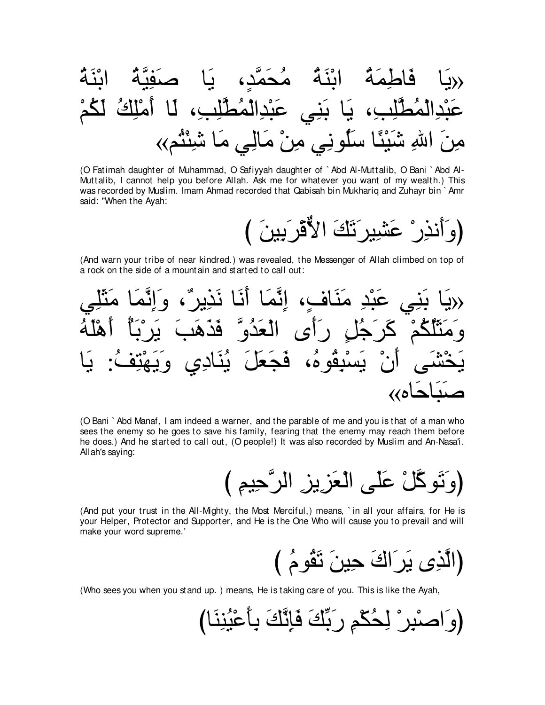(O Fatimah daughter of Muhammad, O Safiyyah daughter of `Abd Al-Muttalib, O Bani `Abd Al-Muttalib, I cannot help you before Allah. Ask me for whatever you want of my wealth.) This was recorded by Muslim. Imam Ahmad recorded that Qabisah bin Mukhariq and Zuhayr bin `Amr said: "When the Ayah:

(And warn your tribe of near kindred.) was revealed, the Messenger of Allah climbed on top of a rock on the side of a mountain and started to call out:



(O Bani ` Abd Manaf, I am indeed a warner, and the parable of me and you is that of a man who sees the enemy so he goes to save his family, fearing that the enemy may reach them before he does.) And he started to call out, (O people!) It was also recorded by Muslim and An-Nasa'i. Allah's saying:

(And put your trust in the All-Mighty, the Most Merciful,) means, `in all your affairs, for He is your Helper, Protector and Supporter, and He is the One Who will cause you to prevail and will make your word supreme.'

(Who sees you when you stand up.) means, He is taking care of you. This is like the Ayah,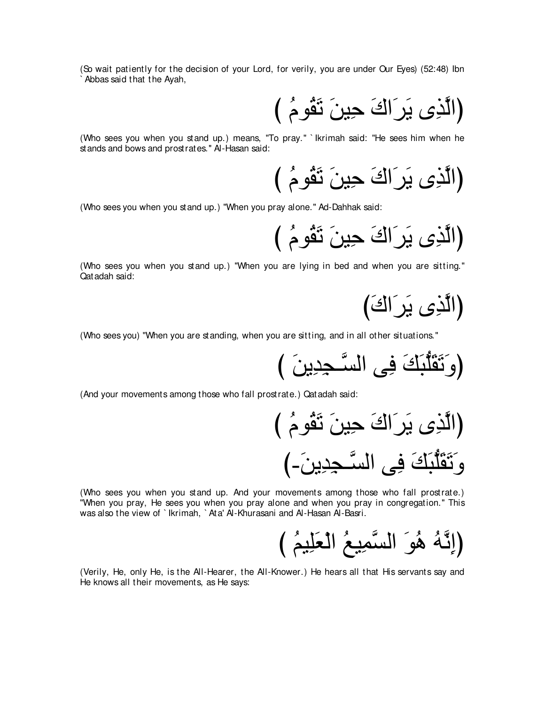(So wait patiently for the decision of your Lord, for verily, you are under Our Eyes) (52:48) Ibn Abbas said that the Ayah,

(الَّذِي يَرَ اكَ حِينَ تَقُومُ )

(Who sees you when you stand up.) means, "To pray." `Ikrimah said: "He sees him when he st ands and bows and prost rates." Al-Hasan said:

(الَّذِي يَرَاكَ حِينَ تَقُومُ )

(Who sees you when you stand up.) "When you pray alone." Ad-Dahhak said:

(الَّذِي يَرَاكَ حِينَ تَقُومُ )

(Who sees you when you stand up.) "When you are lying in bed and when you are sitting." Qatadah said:

(الَّذِي يَرَاكَ)

(Who sees you) "When you are standing, when you are sitting, and in all other situations."

(And your movements among those who fall prostrate.) Qatadah said:

(Who sees you when you stand up. And your movements among those who fall prostrate.) "When you pray, He sees you when you pray alone and when you pray in congregation." This was also the view of `lkrimah, `Ata' Al-Khurasani and Al-Hasan Al-Basri.

(Verily, He, only He, is the All-Hearer, the All-Knower.) He hears all that His servants say and He knows all their movements, as He says: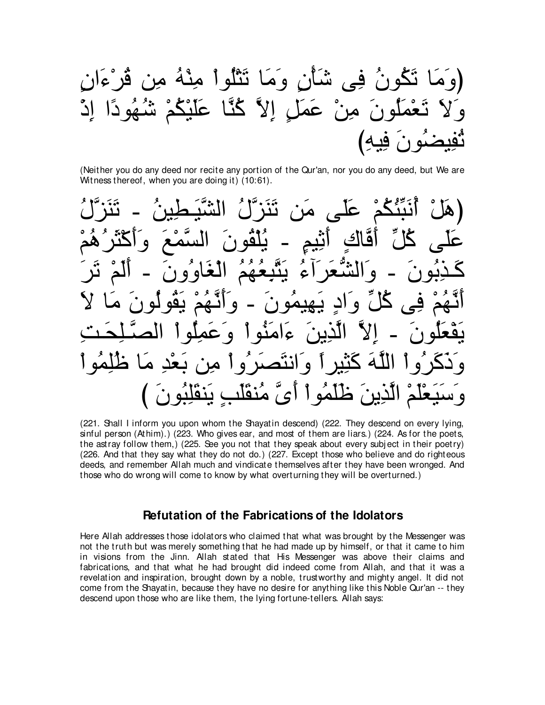ڬونُ فِي شَأْنِ و<sup>ِ</sup>مَا نَثْلُواْ مِنْهُ مِنٍ قُرْءَانِ ِ مِنْ عَمَلِ اِلاَّ كُنَّا عَلَيْكُمْ شُهُودًا اِدْ ثْفِيضُونَ فِيهِ)

(Neither you do any deed nor recite any portion of the Qur'an, nor you do any deed, but We are Witness thereof, when you are doing it) (10:61).

(هَلْ أَنَبَّئُكُمْ عَلَى مَن تَنَزَّلُ الشَّبَطِينُ ـ تَنَزَّلُ عَلَى كُلِّ أَقَّاكٍ أَثِيمٍ ـ يُلْقُونَ السَّمْعَ وَأَكْثَرُهُمْ كَـذِبُونَ - وَالشَّعَرَاءُ يَتَّبِعُهُمُ الْغَاوُونَ - أَلَمْ ثَرَ اَنَّـهُمْ فِي كُلِّ وَادٍ يَـهيمُونَ - وَاَنَّـهُمْ يَقُولُونَ مَا لاَ بَقْعَلُونَ − إلاّ الّذِينَ ءَامَنُواْ وَعَمِلُواْ الصَّـلِحَـتِ ا و انتصر و ا مر الَّذِينَ ظَلَمُو ا أَيَّ مُنقَلَبِ يَنقَلِبُونَ

(221. Shall I inform you upon whom the Shayatin descend) (222. They descend on every lying, sinful person (Athim).) (223. Who gives ear, and most of them are liars.) (224. As for the poets, the astray follow them,) (225. See you not that they speak about every subj ect in their poetry) (226. And that they say what they do not do.) (227. Except those who believe and do righteous deeds, and remember Allah much and vindicate themselves after they have been wronged. And those who do wrong will come to know by what overturning they will be overturned.)

## **Refutation of the Fabrications of the Idolators**

Here Allah addresses those idolators who claimed that what was brought by the Messenger was not the truth but was merely something that he had made up by himself, or that it came to him in visions from the Jinn. Allah stated that His Messenger was above their claims and fabrications, and that what he had brought did indeed come from Allah, and that it was a revelation and inspiration, brought down by a noble, trustworthy and mighty angel. It did not come from the Shayatin, because they have no desire for anything like this Noble Qur'an -- they descend upon those who are like them, the lying fortune-tellers. Allah says: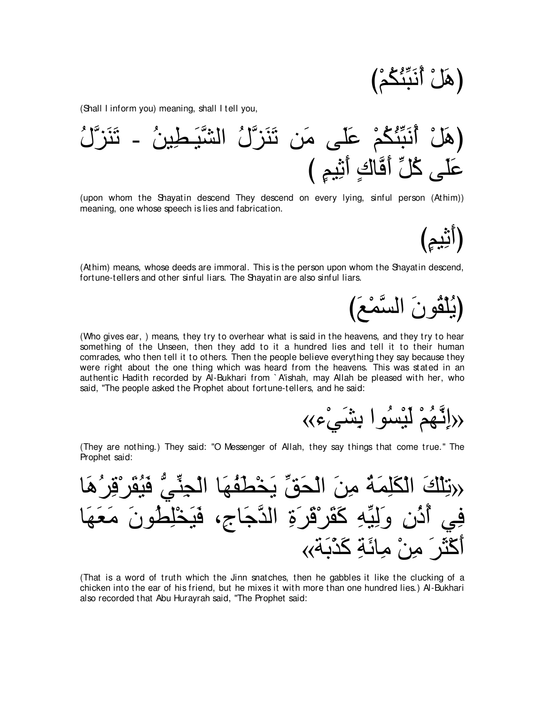(هَلْ أَنَبَنَّكُمْ)

(Shall I inform you) meaning, shall I tell you,

⊥メzゴ∠レ∠ゎ - ⊥リΒ⌒ト⇒∠Βzゼャや ⊥メzゴ∠レ∠ゎ リ∠ョ ヴ∠ヤ∠ハ ∇ユ⊥ム⊥ゃあら∠ル⊥ぺ ∇モ∠ワぴ び ∃ユΒ⌒を∠ぺ ∃ポゅzプ∠ぺ あモ⊥ミ ヴ∠ヤ∠ハ

(upon whom the Shayatin descend They descend on every lying, sinful person (Athim)) meaning, one whose speech is lies and fabrication.

(Athim) means, whose deeds are immoral. This is the person upon whom the Shayatin descend, fortune-tellers and other sinful liars. The Shayatin are also sinful liars.

(يُلْقُونَ السَّمْعَ)

(أَنْيُمٍ)

(Who gives ear, ) means, they try to overhear what is said in the heavens, and they try to hear something of the Unseen, then they add to it a hundred lies and tell it to their human comrades, who then tell it to others. Then the people believe everything they say because they were right about the one thing which was heard from the heavens. This was stated in an authentic Hadith recorded by Al-Bukhari from ` A'ishah, may Allah be pleased with her, who said, "The people asked the Prophet about fortune-tellers, and he said:

«إِنَّهُمْ لَيْسُوا بِشَيْء»)

(They are nothing.) They said: "O Messenger of Allah, they say things that come true.'' The Prophet said:

ゅ∠ワ⊥ゲ⌒ホ∇ゲ∠ボ⊥Β∠プ ぁヶあレ⌒イ∇ャや ゅ∠ヰ⊥ヘ∠ト∇ガ∠Α あペ∠エ∇ャや ∠リ⌒ョ ⊥る∠ヨ⌒ヤ∠ム∇ャや ∠マ∇ヤ⌒ゎ» ゅ∠ヰ∠バ∠ョ ∠ラヲ⊥ト⌒ヤ∇ガ∠Β∠プ ∩⌒ァゅ∠ィzギャや ⌒り∠ゲ∠ホ∇ゲ∠ボ∠ミ ⌒ヮあΒ⌒ャ∠ヱ ⌒ラ⊥ク⊥ぺ ヶ⌒プ «る∠よ∇グ∠ミ ⌒る∠もゅ⌒ョ ∇リ⌒ョ ∠ゲ∠ん∇ミ∠ぺ

(That is a word of truth which the Jinn snatches, then he gabbles it like the clucking of a chicken into the ear of his friend, but he mixes it with more than one hundred lies.) Al-Bukhari also recorded that Abu Hurayrah said, "The Prophet said: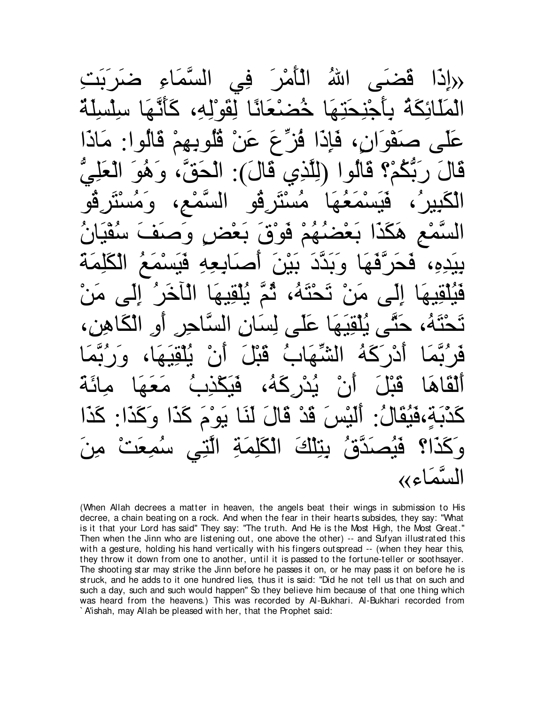حراد َا قضـَــ اللهُ اللهُ د∕لارَ فِي السَّمَاءِ) الْمَلَائِكَةُ بِأَحْنَحَنَهَا خُضِبْعَانًا لِقَوْلِهِ، كَ عَلَى صَفْوَانٍ، فَإِذَا فُزِّعَ عَنْ قُلُوبِهِمْ قَالُوا: مَاذَا قَالَ رَبَّكُمْ؟ قَالُوا (لِلَّذِي قَالَ): الْحَقَّ، وَهُوَ الْعَلِيُّ الكَبِيرُ، فَيَسْمَعُهَا مُسْتَرِقُو السَّمْعِ، وَمُسْتَرِقُو السَّمْعِ هَكَذَا بَعْضُهُمْ فَوْقَ بَعْضٍ وَصَفَ سُفْيَانُ بِيَدِهِ، فَحَرِّفَهَا وَبَدَّدَ بَيْنَ أَصـَابِعِهِ فَيَسْمَعُ الْكَلِمَةُ قَيْلُقِيهَا إِلَى مَنْ تَحْتَهُ، ثُّمَّ يُلْقِيهَا الْاخَرُ إِلَى مَنْ تَحْتَهُ، حَتَّى يُلْقِيَهَا عَلَى لِسَانِ السَّاحِرِ أَو الْكَاهِنِ، فَرِ′بَّمَا أَدْرَكَهُ الشَّهَابُ قَبْلَ أَنْ يُلْقِيَهَا، وَرِبَّمَا اَلْقَاهَا قَبْلَ أَنْ يُدْرِكَهُ، فَيَكْذِبُ مَعَهَا مِائَة كَدْبَةٍ،فَيُقَالُ: اَلَيْسَ قَدْ قَالَ لَنَا يَو ْمَ كَذَا وَكَذَا: كَذَا وَكَذَا؟ فَيُصَدَّقُ بِنِلْكَ الْكَلِمَةِ الَّتِي سُمِعَتْ م*ِن*َ السَّمَاء»

(When Allah decrees a matter in heaven, the angels beat their wings in submission to His decree, a chain beating on a rock. And when the fear in their hearts subsides, they say: "What is it that your Lord has said'' They say: "The truth. And He is the Most High, the Most Great.'' Then when the Jinn who are listening out, one above the other) -- and Sufyan illustrated this with a gesture, holding his hand vertically with his fingers outspread -- (when they hear this, they throw it down from one to another, until it is passed to the fortune-teller or soothsayer. The shooting star may strike the Jinn before he passes it on, or he may pass it on before he is struck, and he adds to it one hundred lies, thus it is said: "Did he not tell us that on such and such a day, such and such would happen'' So they believe him because of that one thing which was heard from the heavens.) This was recorded by Al-Bukhari. Al-Bukhari recorded from ` A'ishah, may Allah be pleased with her, that the Prophet said: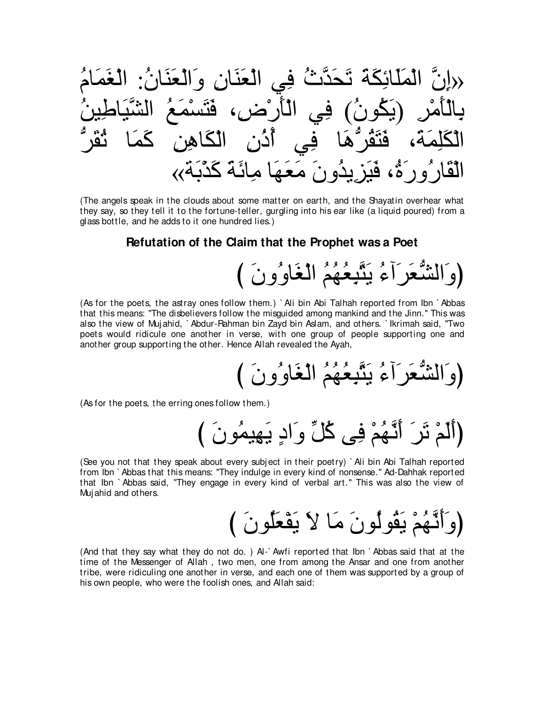(The angels speak in the clouds about some matter on earth, and the Shayatin overhear what they say, so they tell it to the fortune-teller, gurgling into his ear like (a liquid poured) from a glass bottle, and he adds to it one hundred lies.)

## Refutation of the Claim that the Prophet was a Poet

# (وَالشُّعَرَآءُ يَتَّبِعُهُمُ الْغَاوُونَ )

(As for the poets, the astray ones follow them.) `Ali bin Abi Talhah reported from Ibn `Abbas that this means: "The disbelievers follow the misquided among mankind and the Jinn." This was also the view of Mujahid, `Abdur-Rahman bin Zayd bin Aslam, and others. `Ikrimah said, "Two poets would ridicule one another in verse, with one group of people supporting one and another group supporting the other. Hence Allah revealed the Ayah,

(As for the poets, the erring ones follow them.)

(أَلَمْ تَرَ أَتَّهُمْ فِي كُلِّ وَادٍ يَهِيمُونَ )

(See you not that they speak about every subject in their poetry) `Ali bin Abi Talhah reported from Ibn `Abbas that this means: "They indulge in every kind of nonsense." Ad-Dahhak reported that Ibn `Abbas said, "They engage in every kind of verbal art." This was also the view of Mujahid and others.

(وَأَنَّهُمْ يَقُولُونَ مَا لاَ يَقْعَلُونَ )

(And that they say what they do not do.) Al-`Awfi reported that lbn `Abbas said that at the time of the Messenger of Allah, two men, one from among the Ansar and one from another tribe, were ridiculing one another in verse, and each one of them was supported by a group of his own people, who were the foolish ones, and Allah said: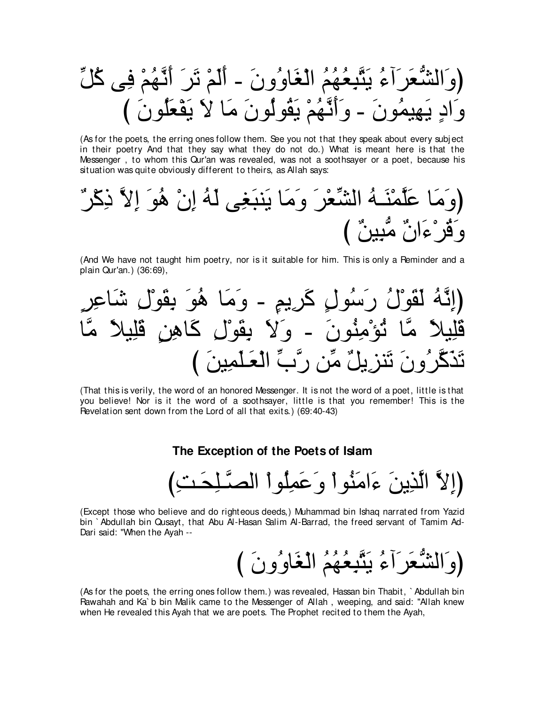(As for the poets, the erring ones follow them. See you not that they speak about every subject in their poetry And that they say what they do not do.) What is meant here is that the Messenger, to whom this Qur'an was revealed, was not a soothsayer or a poet, because his situation was quite obviously different to theirs, as Allah says:

(And We have not taught him poetry, nor is it suitable for him. This is only a Reminder and a plain Qur'an.) (36:69),

(That this is verily, the word of an honored Messenger. It is not the word of a poet, little is that you believe! Nor is it the word of a soothsayer, little is that you remember! This is the Revelation sent down from the Lord of all that exits.) (69:40-43)

# The Exception of the Poets of Islam

(إِلاَّ الَّذِينَ ءَامَنُواْ وَعَمِلُواْ الصَّلِحَتِ)

(Except those who believe and do righteous deeds,) Muhammad bin Ishaq narrated from Yazid bin `Abdullah bin Qusayt, that Abu Al-Hasan Salim Al-Barrad, the freed servant of Tamim Ad-Dari said: "When the Ayah --

(As for the poets, the erring ones follow them.) was revealed, Hassan bin Thabit, `Abdullah bin Rawahah and Ka`b bin Malik came to the Messenger of Allah, weeping, and said: "Allah knew when He revealed this Ayah that we are poets. The Prophet recited to them the Ayah,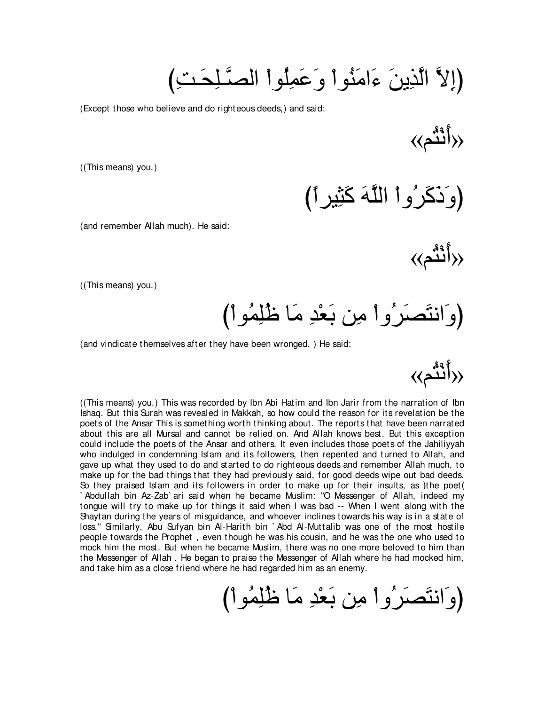(إِلاَّ الَّذِينَ ءَامَنُو ا<sub>ُ</sub> و عَمِلُو ا الصَّلِحَتِ)

(Except those who believe and do righteous deeds,) and said:

«(أَنْثُم»)

((This means) you.)

(وَ ذَكَر ′و أ اللَّهَ كَثِيرِ 1)

(and remember Allah much). He said:

«(أَنْثُم»)

«(أَنْثُم»)

((This means) you.)

(وَانتَصَىرُوا مِن بَعْدِ مَا ظَلِمُوا)

(and vindicate themselves after they have been wronged. ) He said:

((This means) you.) This was recorded by Ibn Abi Hatim and Ibn Jarir from the narration of Ibn Ishaq. But this Surah was revealed in Makkah, so how could the reason for its revelation be the poets of the Ansar This is something worth thinking about. The reports that have been narrated about this are all Mursal and cannot be relied on. And Allah knows best. But this exception could include the poets of the Ansar and others. It even includes those poets of the Jahiliyyah who indulged in condemning Islam and its followers, then repented and turned to Allah, and gave up what they used to do and started to do righteous deeds and remember Allah much, to make up for the bad things that they had previously said, for good deeds wipe out bad deeds. So they praised Islam and its followers in order to make up for their insults, as ) the poet ( ` Abdullah bin Az-Zab` ari said when he became Muslim: "O Messenger of Allah, indeed my tongue will try to make up for things it said when I was bad -- When I went along with the Shaytan during the years of misguidance, and whoever inclines towards his way is in a state of loss." Similarly, Abu Sufyan bin Al-Harith bin `Abd Al-Muttalib was one of the most hostile people towards the Prophet , even though he was his cousin, and he was the one who used to mock him the most. But when he became Muslim, there was no one more beloved to him than the Messenger of Allah . He began to praise the Messenger of Allah where he had mocked him, and take him as a close friend where he had regarded him as an enemy.

(وَانتَصَرُوا مِن بَعْدِ مَا ظُلِمُوا)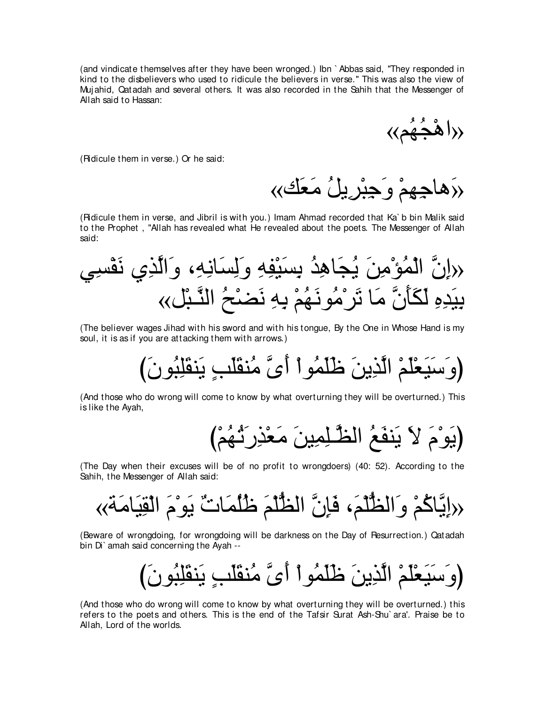(and vindicate themselves after they have been wronged.) Ibn ` Abbas said, "They responded in kind to the disbelievers who used to ridicule the believers in verse.'' This was also the view of Muj ahid, Qatadah and several others. It was also recorded in the Sahih that the Messenger of Allah said to Hassan:

«اهْجُهُم»

(Ridicule them in verse.) Or he said:

«دَهاجِهِمْ وَجِبْرِيلُ مَعَك»

(Ridicule them in verse, and Jibril is with you.) Imam Ahmad recorded that Ka` b bin Malik said to the Prophet , "Allah has revealed what He revealed about the poets. The Messenger of Allah said:

ヶ⌒ジ∇ヘ∠ル ヵ⌒グzャや∠ヱ ∩⌒ヮ⌒ルゅ∠ジ⌒ャ∠ヱ ⌒ヮ⌒ヘ∇Β∠ジ⌒よ ⊥ギ⌒ワゅ∠イ⊥Α ∠リ⌒ョ∇ぽ⊥ヨ∇ャや zラ⌒ま» «モ∇ら⇒zレャや ⊥ウ∇ツ∠ル ⌒ヮ⌒よ ∇ユ⊥ヰ∠ルヲ⊥ョ∇ゲ∠ゎ ゅ∠ョ zラ∠ほ∠ム∠ャ ⌒ロ⌒ギ∠Β⌒よ

(The believer wages Jihad with his sword and with his tongue, By the One in Whose Hand is my soul, it is as if you are attacking them with arrows.)

び∠ラヲ⊥ら⌒ヤ∠ボレ∠Α ∃ょ∠ヤ∠ボレ⊥ョ zン∠ぺ ∇やヲ⊥ヨ∠ヤ∠ニ ∠リΑ⌒グzャや ∇ユ∠ヤ∇バ∠Β∠シ∠ヱぴ

(And those who do wrong will come to know by what overturning they will be overturned.) This is like the Ayah,

び∇ユ⊥ヰ⊥ゎ∠ケ⌒グ∇バ∠ョ ∠リΒ⌒ヨ⌒ヤ⇒zヌャや ⊥ノ∠ヘレ∠Α ∠Ι ∠ュ∇ヲ∠Αぴ

(The Day when their excuses will be of no profit to wrongdoers) (40: 52). According to the Sahih, the Messenger of Allah said:

«る∠ョゅ∠Β⌒ボ∇ャや ∠ュ∇ヲ∠Α ∀れゅ∠ヨ⊥ヤ⊥ニ ∠ユ∇ヤぁヌャや zラ⌒み∠プ ∩∠ユ∇ヤぁヌャや∠ヱ ∇ユ⊥ミゅzΑ⌒ま»

(Beware of wrongdoing, for wrongdoing will be darkness on the Day of Resurrection.) Qatadah bin Di` amah said concerning the Ayah --

び∠ラヲ⊥ら⌒ヤ∠ボレ∠Α ∃ょ∠ヤ∠ボレ⊥ョ zン∠ぺ ∇やヲ⊥ヨ∠ヤ∠ニ ∠リΑ⌒グzャや ∇ユ∠ヤ∇バ∠Β∠シ∠ヱぴ

(And those who do wrong will come to know by what overturning they will be overturned.) this refers to the poets and others. This is the end of the Tafsir Surat Ash-Shu` ara'. Praise be to Allah, Lord of the worlds.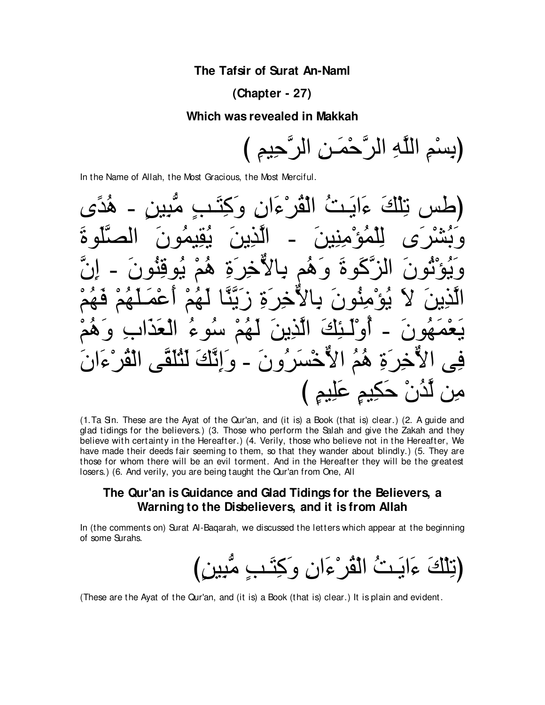# The Tafsir of Surat An-Naml

# $(Chapter - 27)$

#### Which was revealed in Makkah



In the Name of Allah, the Most Gracious, the Most Merciful.



(1. Ta Sin. These are the Ayat of the Qur'an, and (it is) a Book (that is) clear.) (2. A quide and glad tidings for the believers.) (3. Those who perform the Salah and give the Zakah and they believe with certainty in the Hereafter.) (4. Verily, those who believe not in the Hereafter, We have made their deeds fair seeming to them, so that they wander about blindly.) (5. They are those for whom there will be an evil torment. And in the Hereafter they will be the greatest losers.) (6. And verily, you are being taught the Qur'an from One, All

# The Qur'an is Guidance and Glad Tidings for the Believers, a Warning to the Disbelievers, and it is from Allah

In (the comments on) Surat Al-Bagarah, we discussed the letters which appear at the beginning of some Surahs.

(These are the Ayat of the Qur'an, and (it is) a Book (that is) clear.) It is plain and evident.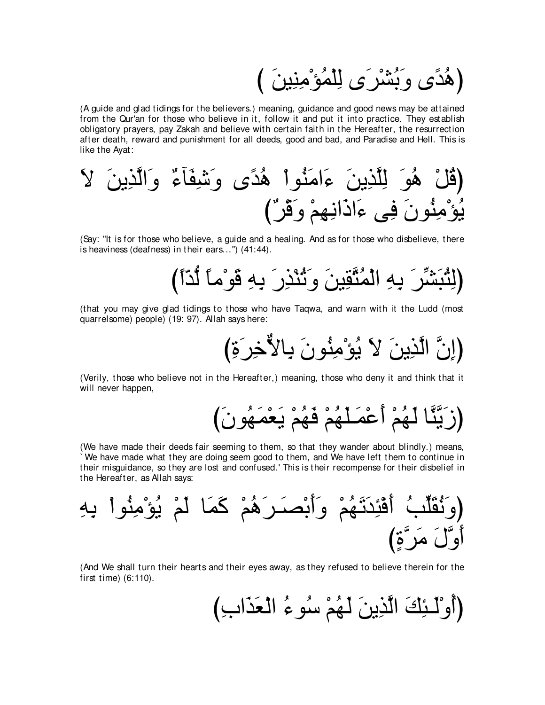(هُدَّي وَبُشْرَى لِلْمُوْمِنِينَ )

(A guide and glad tidings for the believers.) meaning, guidance and good news may be attained from the Qur'an for those who believe in it, follow it and put it into practice. They establish obligatory prayers, pay Zakah and believe with certain faith in the Hereafter, the resurrection after death, reward and punishment for all deeds, good and bad, and Paradise and Hell. This is like the Ayat:

∠Ι ∠リΑ⌒グzャや∠ヱ ∀¬べ∠ヘ⌒セ∠ヱ ン⇔ギ⊥ワ ∇やヲ⊥レ∠ョや∠¬ ∠リΑ⌒グzヤ⌒ャ ∠ヲ⊥ワ ∇モ⊥ホぴ び∀ゲ∇ホ∠ヱ ∇ユ⌒ヰ⌒ルや∠クや∠¬ ヴ⌒プ ∠ラヲ⊥レ⌒ョ∇ぽ⊥Α

(Say: "It is for those who believe, a guide and a healing. And as for those who disbelieve, there is heaviness (deafness) in their ears...'') (41:44).

び⇔や∂ギぁャ ⇔ゅョ∇ヲ∠ホ ⌒ヮ⌒よ ∠ケ⌒グ∇レ⊥ゎ∠ヱ ∠リΒ⌒ボzわ⊥ヨ∇ャや ⌒ヮ⌒よ ∠ゲあゼ∠ら⊥わ⌒ャぴ

(that you may give glad tidings to those who have Taqwa, and warn with it the Ludd (most quarrelsome) people) (19: 97). Allah says here:

び⌒り∠ゲ⌒カxΙゅ⌒よ ∠ラヲ⊥レ⌒ョ∇ぽ⊥Α ∠Ι ∠リΑ⌒グzャや zラ⌒まぴ

(Verily, those who believe not in the Hereafter,) meaning, those who deny it and think that it will never happen.

زِيَّنَّا لَهُمْ أَعْمَلَهُمْ فَهُمْ يَعْمَهُونَ)

(We have made their deeds fair seeming to them, so that they wander about blindly.) means, ` We have made what they are doing seem good to them, and We have left them to continue in their misguidance, so they are lost and confused.' This is their recompense for their disbelief in the Hereafter, as Allah says:

⌒ヮ⌒よ ∇やヲ⊥レ⌒ョ∇ぽ⊥Α ∇ユ∠ャ ゅ∠ヨ∠ミ ∇ユ⊥ワ∠ゲ⇒∠ダ∇よ∠ぺ∠ヱ ∇ユ⊥ヰ∠ゎ∠ギ⌒ゃ∇プ∠ぺ ⊥ょあヤ∠ボ⊥ル∠ヱぴ び∃りzゲ∠ョ ∠メzヱ∠ぺ

(And We shall turn their hearts and their eyes away, as they refused to believe therein for the first time) (6:110).

(آوْلَـئِكَ الَّذِينَ لَـهُمْ سُوءُ الْـعَذَابِ)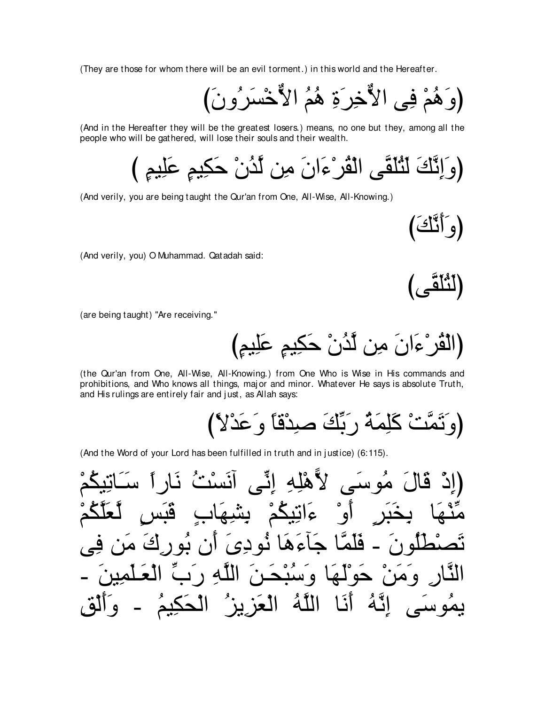(They are those for whom there will be an evil torment.) in this world and the Hereafter.

(And in the Hereafter they will be the greatest losers.) means, no one but they, among all the people who will be gathered, will lose their souls and their wealth.

(And verily, you are being taught the Qur'an from One, All-Wise, All-Knowing.)

(و اڏُكَ

(And verily, you) O Muhammad. Qatadah said:

أثلق

(are being taught) "Are receiving."

(the Qur'an from One, All-Wise, All-Knowing.) from One Who is Wise in His commands and prohibitions, and Who knows all things, major and minor. Whatever He says is absolute Truth, and His rulings are entirely fair and just, as Allah says:

(And the Word of your Lord has been fulfilled in truth and in justice) (6:115).

لأَهْلِهِ إِنِّهِ قال امہ ست ءَاتِيكُمْ ا جَاءَهَا نَوديَ أَن يُو رَكَ مَر له ن فلمّ حولها وسُنْحَـ و هدن الله ر د اللَّهُ الْعَزِيزُ ُ اللَّهُ ِ أَنَـا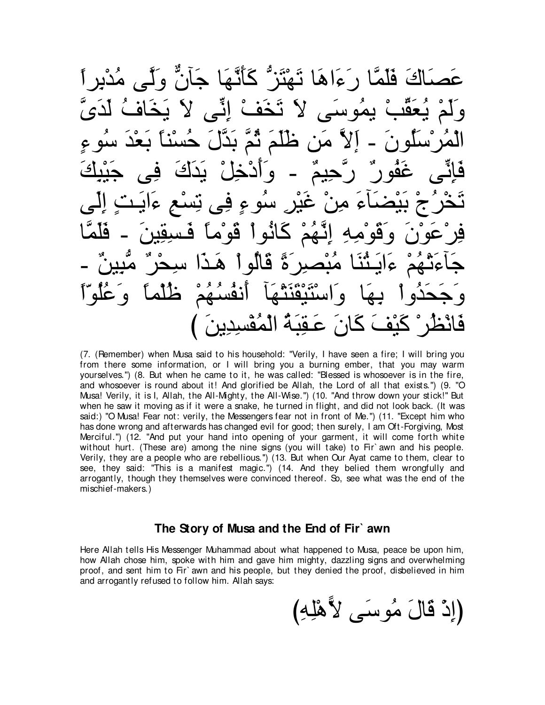عَصِدَاكَ فَلَمَّا رِعَ∣هَا نَيْتَز<sup>ِمْ</sup> كَأَنَّهَا جَأَنَّ وَلَّـ*ي* حَقَبْ بِمُوسَے ٍ لا تَخَفُ ائِّے کِ کَخَاف الْمُرْسَلُونَ − إِلاَّ مَن ظَلَمَ ثُمَّ بَدَّلَ حُسْناً بَعْدَ سُوءٍ هَإِنَّـى غَفُورٌ رَّحِيمٌّ - وَأَدْخِلْ يَدَكَ فِي جَيْبِكَ تَخْرُجْ بَيْضَاءَ مِنْ غَيْرِ سُوءٍ فِي تِسْعِ ءَايَتٍ إِلَى فِرْعَوْنَ وَقَوْمِهِ إِنَّهُمْ كَانُواْ قَوْماً فَسِقِينَ ـ فَلَمَّا جَاءَتْهُمْ ءَايَثْنَا مُبْصِرِرَةً قَالُواْ هَـٰذَا سِحْرٌ مَّبِينٌ -وَجَحَدُوا بِهَا وَاسْتَيْقَنَتْهَا أَنفُسُهُمْ ظُلْماً وَعُلُوّاً حدَفَ المُقَس

(7. (Remember) when Musa said to his household: "Verily, I have seen a fire; I will bring you from there some information, or I will bring you a burning ember, that you may warm yourselves.'') (8. But when he came to it, he was called: "Blessed is whosoever is in the fire, and whosoever is round about it! And glorified be Allah, the Lord of all that exists.'') (9. "O Musa! Verily, it is I, Allah, the All-Mighty, the All-Wise.'') (10. "And throw down your stick!'' But when he saw it moving as if it were a snake, he turned in flight, and did not look back. (It was said:) "O Musa! Fear not: verily, the Messengers fear not in front of Me.'') (11. "Except him who has done wrong and afterwards has changed evil for good; then surely, I am Oft-Forgiving, Most Merciful.'') (12. "And put your hand into opening of your garment, it will come forth white without hurt. (These are) among the nine signs (you will take) to Fir` awn and his people. Verily, they are a people who are rebellious.'') (13. But when Our Ayat came to them, clear to see, they said: "This is a manifest magic.'') (14. And they belied them wrongfully and arrogantly, though they themselves were convinced thereof. So, see what was the end of the mischief-makers.)

# **The Story of Musa and the End of Fir` awn**

Here Allah tells His Messenger Muhammad about what happened to Musa, peace be upon him, how Allah chose him, spoke with him and gave him mighty, dazzling signs and overwhelming proof, and sent him to Fir` awn and his people, but they denied the proof, disbelieved in him and arrogantly refused to follow him. Allah says:

(إِذْ قَالَ مُوسَى لأَهْلِهِ)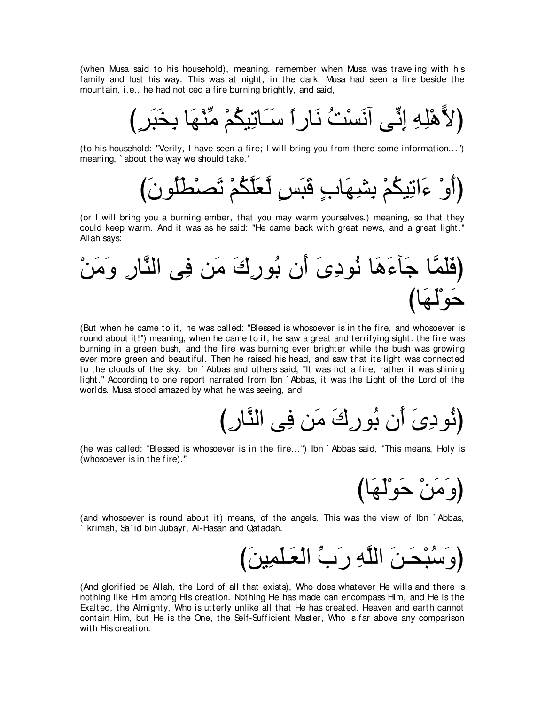(when Musa said to his household), meaning, remember when Musa was traveling with his family and lost his way. This was at night, in the dark. Musa had seen a fire beside the mountain, i.e., he had noticed a fire burning brightly, and said,

び∃ゲ∠ら∠ガ⌒よ ゅ∠ヰ∇レあョ ∇ユ⊥ムΒ⌒ゎゅ∠⇒∠シ ⇔やケゅ∠ル ⊥ろ∇ジ∠ルへ ヴあル⌒ま ⌒ヮ⌒ヤ∇ワ6Ιぴ

(to his household: "Verily, I have seen a fire; I will bring you from there some information...'') meaning, ` about the way we should take.'

び∠ラヲ⊥ヤ∠ト∇ダ∠ゎ ∇ユ⊥ムzヤ∠バzャ ∃ザ∠ら∠ホ ∃ゆゅ∠ヰ⌒ゼ⌒よ ∇ユ⊥ムΒ⌒ゎや∠¬ ∇ヱ∠ぺぴ

(or I will bring you a burning ember, that you may warm yourselves.) meaning, so that they could keep warm. And it was as he said: "He came back with great news, and a great light.'' Allah says:

∇リ∠ョ∠ヱ ⌒ケゅzレャや ヴ⌒プ リ∠ョ ∠ポ⌒ケヲ⊥よ ラ∠ぺ ∠ン⌒キヲ⊥ル ゅ∠ワ∠¬べ∠ィ ゅzヨ∠ヤ∠プぴ びゅ∠ヰ∠ャ∇ヲ∠ェ

(But when he came to it, he was called: "Blessed is whosoever is in the fire, and whosoever is round about it!'') meaning, when he came to it, he saw a great and terrifying sight: the fire was burning in a green bush, and the fire was burning ever brighter while the bush was growing ever more green and beautiful. Then he raised his head, and saw that its light was connected to the clouds of the sky. Ibn ` Abbas and others said, "It was not a fire, rather it was shining light.'' According to one report narrated from Ibn ` Abbas, it was the Light of the Lord of the worlds. Musa stood amazed by what he was seeing, and

び⌒ケゅzレャや ヴ⌒プ リ∠ョ ∠ポ⌒ケヲ⊥よ ラ∠ぺ ∠ン⌒キヲ⊥ルぴ

(he was called: "Blessed is whosoever is in the fire...'') Ibn ` Abbas said, "This means, Holy is (whosoever is in the fire).''

(وَمَنْ حَوْلَهَا)

(and whosoever is round about it) means, of the angels. This was the view of Ibn ` Abbas, ` Ikrimah, Sa` id bin Jubayr, Al-Hasan and Qatadah.

び∠リΒ⌒ヨ∠ヤ⇒∠バ∇ャや あゆ∠ケ ⌒ヮzヤャや ∠リ⇒∠エ∇ら⊥シ∠ヱぴ

(And glorified be Allah, the Lord of all that exists), Who does whatever He wills and there is nothing like Him among His creation. Nothing He has made can encompass Him, and He is the Exalted, the Almighty, Who is utterly unlike all that He has created. Heaven and earth cannot contain Him, but He is the One, the Self-Sufficient Master, Who is far above any comparison with His creation.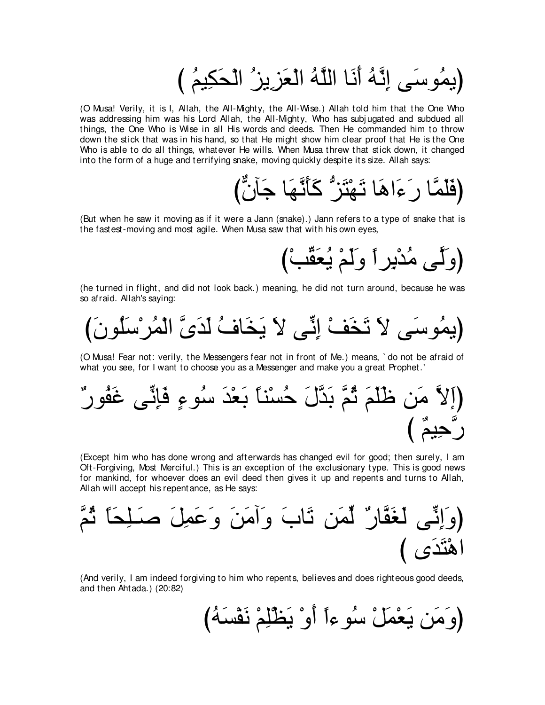び ⊥ユΒ⌒ム∠エ∇ャや ⊥ゴΑ⌒ゴ∠バ∇ャや ⊥ヮzヤャや ゅ∠ル∠ぺ ⊥ヮzル⌒ま ヴ∠シヲ⊥ヨΑぴ

(O Musa! Verily, it is I, Allah, the All-Mighty, the All-Wise.) Allah told him that the One Who was addressing him was his Lord Allah, the All-Mighty, Who has subj ugated and subdued all things, the One Who is Wise in all His words and deeds. Then He commanded him to throw down the stick that was in his hand, so that He might show him clear proof that He is the One Who is able to do all things, whatever He wills. When Musa threw that stick down, it changed into the form of a huge and terrifying snake, moving quickly despite its size. Allah says:

びxラべ∠ィ ゅ∠ヰzル∠ほ∠ミ ぁゴ∠わ∇ヰ∠ゎ ゅ∠ワや∠¬∠ケ ゅzヨ∠ヤ∠プぴ

(But when he saw it moving as if it were a Jann (snake).) Jann refers to a type of snake that is the fastest-moving and most agile. When Musa saw that with his own eyes,

び∇ょあボ∠バ⊥Α ∇ユ∠ャ∠ヱ ⇔やゲ⌒よ∇ギ⊥ョ ヴzャ∠ヱぴ

(he turned in flight, and did not look back.) meaning, he did not turn around, because he was so afraid. Allah's saying:

び∠ラヲ⊥ヤ∠シ∇ゲ⊥ヨ∇ャや zン∠ギ∠ャ ⊥フゅ∠ガ∠Α ∠Ι ヴあル⌒ま ∇ブ∠ガ∠ゎ ∠Ι ヴ∠シヲ⊥ヨΑぴ

(O Musa! Fear not: verily, the Messengers fear not in front of Me.) means, ` do not be afraid of what you see, for I want to choose you as a Messenger and make you a great Prophet.'

(َّاِلاَّ منَ ظَلَمَ تُمَّ بَدَّلَ حُسُنًا بَعُدَ سُوءِ فَاِئَّى عَفُورٌ
$$
\stackrel{?}{\leq} \stackrel{\text{?}{\leq}}{C}
$$

(Except him who has done wrong and afterwards has changed evil for good; then surely, I am Oft-Forgiving, Most Merciful.) This is an exception of the exclusionary type. This is good news for mankind, for whoever does an evil deed then gives it up and repents and turns to Allah, Allah will accept his repentance, as He says:

zユ⊥を ⇔ゅ∠エ⌒ヤ⇒∠タ ∠モ⌒ヨ∠ハ∠ヱ ∠リ∠ョへ∠ヱ ∠ゆゅ∠ゎ リ∠ヨあャ ∀ケゅzヘ∠ピ∠ャ ヴあル⌒ま∠ヱぴ び ン∠ギ∠わ∇ワや

(And verily, I am indeed forgiving to him who repents, believes and does righteous good deeds, and then Ahtada.) (20:82)

び⊥ヮ∠ジ∇ヘ∠ル ∇ユ⌒ヤ∇ヌ∠Α ∇ヱ∠ぺ ⇔や¬ヲ⊥シ ∇モ∠ヨ∇バ∠Α リ∠ョ∠ヱぴ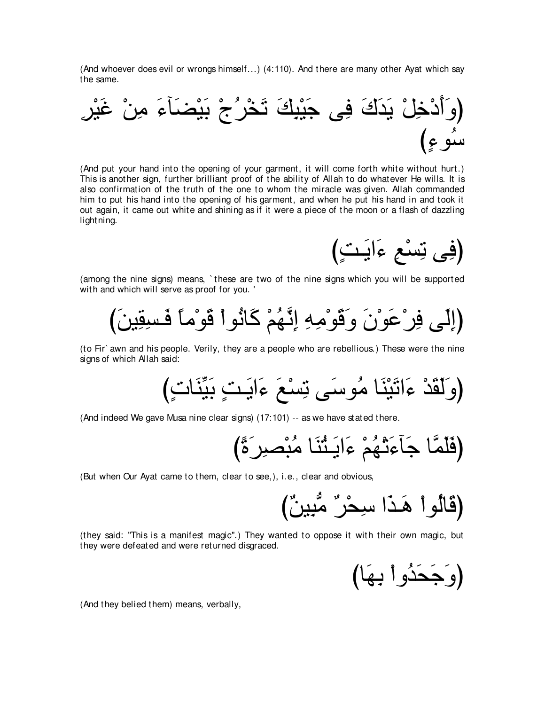(And whoever does evil or wrongs himself...) (4:110). And there are many other Ayat which say the same.



(And put your hand into the opening of your garment, it will come forth white without hurt.) This is another sign, further brilliant proof of the ability of Allah to do whatever He wills. It is also confirmation of the truth of the one to whom the miracle was given. Allah commanded him to put his hand into the opening of his garment, and when he put his hand in and took it out again, it came out white and shining as if it were a piece of the moon or a flash of dazzling lightning.

(فِي نِسْعِ ءَابَتٍ)

(among the nine signs) means, ` these are two of the nine signs which you will be supported with and which will serve as proof for you. '

び∠リΒ⌒ボ⌒ジ⇒∠プ ⇔ゅョ∇ヲ∠ホ ∇やヲ⊥ルゅ∠ミ ∇ユ⊥ヰzル⌒ま ⌒ヮ⌒ョ∇ヲ∠ホ∠ヱ ∠ラ∇ヲ∠ハ∇ゲ⌒プ ヴ∠ャ⌒まぴ

(to Fir` awn and his people. Verily, they are a people who are rebellious.) These were the nine signs of which Allah said:

び∃れゅ∠レあΒ∠よ ∃ろ⇒∠Αや∠¬ ∠ノ∇ジ⌒ゎ ヴ∠シヲ⊥ョ ゅ∠レ∇Β∠ゎや∠¬ ∇ギ∠ボ∠ャ∠ヱぴ

(And indeed We gave Musa nine clear signs) (17:101) -- as we have stated there.

び⇔り∠ゲ⌒ダ∇ら⊥ョ ゅ∠レ⊥わ⇒∠Αや∠¬ ∇ユ⊥ヰ∇ゎ∠¬べ∠ィ ゅzヨ∠ヤ∠プぴ

(But when Our Ayat came to them, clear to see,), i.e., clear and obvious,

び∀リΒ⌒らぁョ ∀ゲ∇エ⌒シ や∠グ⇒∠ワ ∇やヲ⊥ャゅ∠ホぴ

(they said: "This is a manifest magic''.) They wanted to oppose it with their own magic, but they were defeated and were returned disgraced.

びゅ∠ヰ⌒よ ∇やヱ⊥ギ∠エ∠ィ∠ヱぴ

(And they belied them) means, verbally,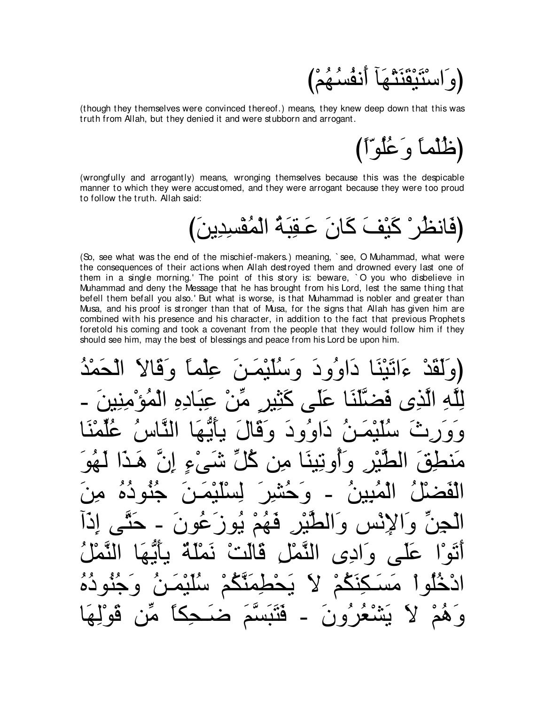

(though they themselves were convinced thereof.) means, they knew deep down that this was truth from Allah, but they denied it and were stubborn and arrogant.

(ظُلْماً وَغُلُوّاً)

(wrongfully and arrogantly) means, wronging themselves because this was the despicable manner to which they were accustomed, and they were arrogant because they were too proud to follow the truth. Allah said:

(So, see what was the end of the mischief-makers.) meaning, `see, O Muhammad, what were the consequences of their actions when Allah destroved them and drowned every last one of them in a single morning.' The point of this story is: beware, 'O you who disbelieve in Muhammad and deny the Message that he has brought from his Lord, lest the same thing that befell them befall you also.' But what is worse, is that Muhammad is nobler and greater than Musa, and his proof is stronger than that of Musa, for the signs that Allah has given him are combined with his presence and his character, in addition to the fact that previous Prophets foretold his coming and took a covenant from the people that they would follow him if they should see him, may the best of blessings and peace from his Lord be upon him.

ه قا داوود وسكيف علم آ کند من اده او و د و قال د قهم يور فالث فَثَبَسَم ھ' ⁄ و ھم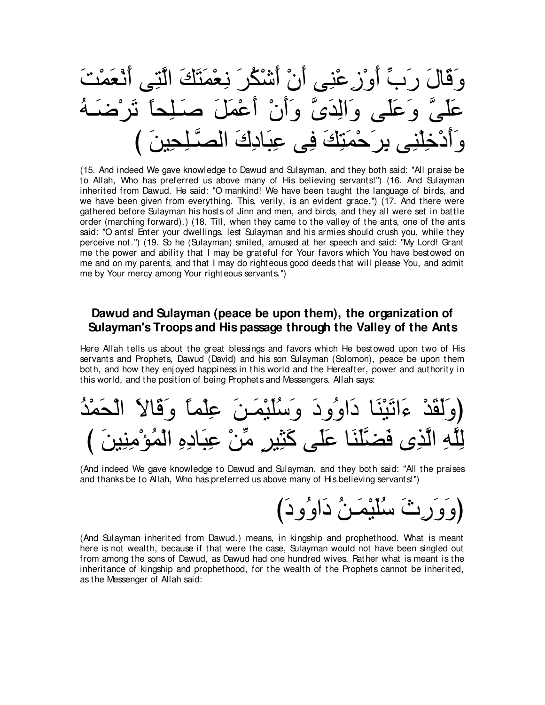وَقَالَ رَبٍّ أُوْزِ عُنِي أَنْ أَشْكُرَ نِعْمَتَكَ الَّتِي أَنْعَمْتَ عَلَمٍ ۗ وَعَلَمٍ ۚ وَالَّذَىَّ وَأَنْ أَعْمَلَ صَدَ وَأَدْخِلْنِي بِرِ َحْمَنِكَ فِي عِبَادِكَ الْصِدَّ

(15. And indeed We gave knowledge to Dawud and Sulayman, and they both said: "All praise be to Allah, Who has preferred us above many of His believing servants!") (16. And Sulayman inherited from Dawud. He said: "O mankind! We have been taught the language of birds, and we have been given from everything. This, verily, is an evident grace.") (17. And there were gathered before Sulayman his hosts of Jinn and men, and birds, and they all were set in battle order (marching forward).) (18. Till, when they came to the valley of the ants, one of the ants said: "O ants! Enter your dwellings, lest Sulayman and his armies should crush you, while they perceive not.") (19. So he (Sulayman) smiled, amused at her speech and said: "My Lord! Grant me the power and ability that I may be grateful for Your favors which You have bestowed on me and on my parents, and that I may do righteous good deeds that will please You, and admit me by Your mercy among Your righteous servants.")

# Dawud and Sulayman (peace be upon them), the organization of Sulayman's Troops and His passage through the Valley of the Ants

Here Allah tells us about the great blessings and favors which He bestowed upon two of His servants and Prophets, Dawud (David) and his son Sulayman (Solomon), peace be upon them both, and how they enjoyed happiness in this world and the Hereafter, power and authority in this world, and the position of being Prophets and Messengers. Allah says:

(And indeed We gave knowledge to Dawud and Sulayman, and they both said: "All the praises and thanks be to Allah, Who has preferred us above many of His believing servants!")

ِتۡ َ سُلَيْمَـٰنُ دَاوُو دَ)

(And Sulayman inherited from Dawud.) means, in kingship and prophethood. What is meant here is not wealth, because if that were the case, Sulayman would not have been singled out from among the sons of Dawud, as Dawud had one hundred wives. Pather what is meant is the inheritance of kingship and prophethood, for the wealth of the Prophets cannot be inherited. as the Messenger of Allah said: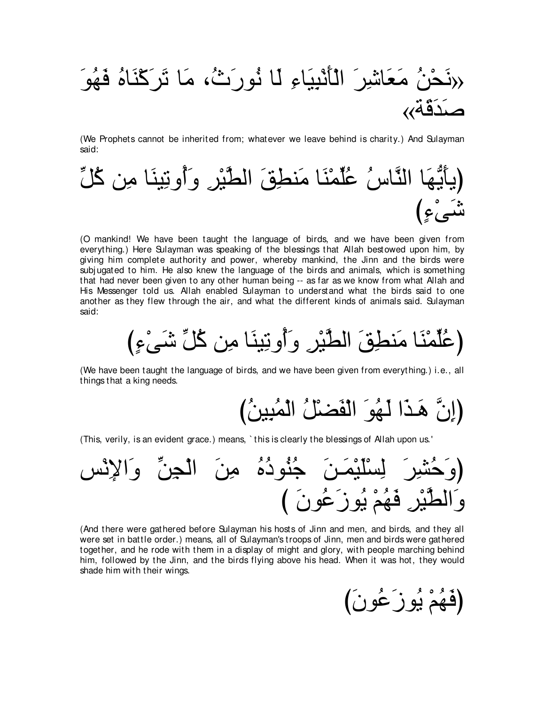∠ヲ⊥ヰ∠プ ⊥ロゅ∠レ∇ミ∠ゲ∠ゎ ゅ∠ョ ∩⊥ゐ∠ケヲ⊥ル ゅ∠ャ ⌒¬ゅ∠Β⌒ら∇ル∠ほ∇ャや ∠ゲ⌒セゅ∠バ∠ョ ⊥リ∇エ∠ル» «る∠ホ∠ギ∠タ

(We Prophets cannot be inherited from; whatever we leave behind is charity.) And Sulayman said:

あモ⊥ミ リ⌒ョ ゅ∠レΒ⌒ゎヱ⊥ぺ∠ヱ ⌒ゲ∇Βzトャや ∠ペ⌒トレ∠ョ ゅ∠レ∇ヨあヤ⊥ハ ⊥サゅzレャや ゅ∠ヰぁΑ∠ほΑぴ び∃¬∇ヴ∠セ

(O mankind! We have been taught the language of birds, and we have been given from everything.) Here Sulayman was speaking of the blessings that Allah bestowed upon him, by giving him complete authority and power, whereby mankind, the Jinn and the birds were subj ugated to him. He also knew the language of the birds and animals, which is something that had never been given to any other human being -- as far as we know from what Allah and His Messenger told us. Allah enabled Sulayman to understand what the birds said to one another as they flew through the air, and what the different kinds of animals said. Sulayman said:

び∃¬∇ヴ∠セ あモ⊥ミ リ⌒ョ ゅ∠レΒ⌒ゎヱ⊥ぺ∠ヱ ⌒ゲ∇Βzトャや ∠ペ⌒トレ∠ョ ゅ∠レ∇ヨあヤ⊥ハぴ

(We have been taught the language of birds, and we have been given from everything.) i.e., all things that a king needs.

(إِنَّ هَـٰدًا لَـهُوَ الْفَضـْلُ الْمُبِينُ)

(This, verily, is an evident grace.) means, ` this is clearly the blessings of Allah upon us.'



(And there were gathered before Sulayman his hosts of Jinn and men, and birds, and they all were set in battle order.) means, all of Sulayman's troops of Jinn, men and birds were gathered together, and he rode with them in a display of might and glory, with people marching behind him, followed by the Jinn, and the birds flying above his head. When it was hot, they would shade him with their wings.

び∠ラヲ⊥ハ∠コヲ⊥Α ∇ユ⊥ヰ∠プぴ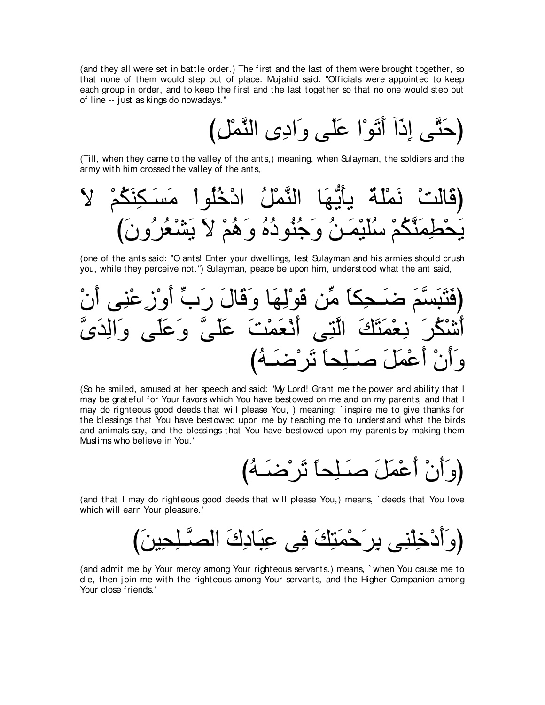(and they all were set in battle order.) The first and the last of them were brought together, so that none of them would step out of place. Muj ahid said: "Officials were appointed to keep each group in order, and to keep the first and the last together so that no one would step out of line -- j ust as kings do nowadays.''

び⌒モ∇ヨzレャや ン⌒キや∠ヱ ヴ∠ヤ∠ハ や∇ヲ∠ゎ∠ぺ へ∠ク⌒ま ヴzわ∠ェぴ

(Till, when they came to the valley of the ants,) meaning, when Sulayman, the soldiers and the army with him crossed the valley of the ants,

∠Ι ∇ユ⊥ム∠レ⌒ム⇒∠ジ∠ョ ∇やヲ⊥ヤ⊥カ∇キや ⊥モ∇ヨzレャや ゅ∠ヰぁΑ∠ほΑ ∀る∠ヤ∇ヨ∠ル ∇ろ∠ャゅ∠ホぴ び∠ラヱ⊥ゲ⊥バ∇ゼ∠Α ∠Ι ∇ユ⊥ワ∠ヱ ⊥ロ⊥キヲ⊥レ⊥ィ∠ヱ ⊥リ⇒∠ヨ∇Β∠ヤ⊥シ ∇ユ⊥ムzレ∠ヨ⌒ト∇エ∠Α

(one of the ants said: "O ants! Enter your dwellings, lest Sulayman and his armies should crush you, while they perceive not.'') Sulayman, peace be upon him, understood what the ant said,

∇ラ∠ぺ ヴ⌒レ∇ハ⌒コ∇ヱ∠ぺ あゆ∠ケ ∠メゅ∠ホ∠ヱ ゅ∠ヰ⌒ャ∇ヲ∠ホ リあョ ⇔ゅム⌒エ⇒∠ッ ∠ユzジ∠ら∠わ∠プぴ zン∠ギ⌒ャや∠ヱ ヴ∠ヤ∠ハ∠ヱ zヴ∠ヤ∠ハ ∠ろ∇ヨ∠バ∇ル∠ぺ ヴ⌒わzャや ∠マ∠わ∠ヨ∇バ⌒ル ∠ゲ⊥ム∇セ∠ぺ び⊥ヮ⇒∠ッ∇ゲ∠ゎ ⇔ゅエ⌒ヤ⇒∠タ ∠モ∠ヨ∇ハ∠ぺ ∇ラ∠ぺ∠ヱ

(So he smiled, amused at her speech and said: "My Lord! Grant me the power and ability that I may be grateful for Your favors which You have bestowed on me and on my parents, and that I may do righteous good deeds that will please You, ) meaning: ` inspire me to give thanks for the blessings that You have bestowed upon me by teaching me to understand what the birds and animals say, and the blessings that You have bestowed upon my parents by making them Muslims who believe in You.'

び⊥ヮ⇒∠ッ∇ゲ∠ゎ ⇔ゅエ⌒ヤ⇒∠タ ∠モ∠ヨ∇ハ∠ぺ ∇ラ∠ぺ∠ヱぴ

(and that I may do righteous good deeds that will please You,) means, ` deeds that You love which will earn Your pleasure.'

び∠リΒ⌒エ⌒ヤ⇒zダャや ∠ポ⌒キゅ∠ら⌒ハ ヴ⌒プ ∠マ⌒わ∠ヨ∇ェ∠ゲ⌒よ ヴ⌒レ∇ヤ⌒カ∇キ∠ぺ∠ヱぴ

(and admit me by Your mercy among Your righteous servants.) means, ` when You cause me to die, then join me with the righteous among Your servants, and the Higher Companion among Your close friends.'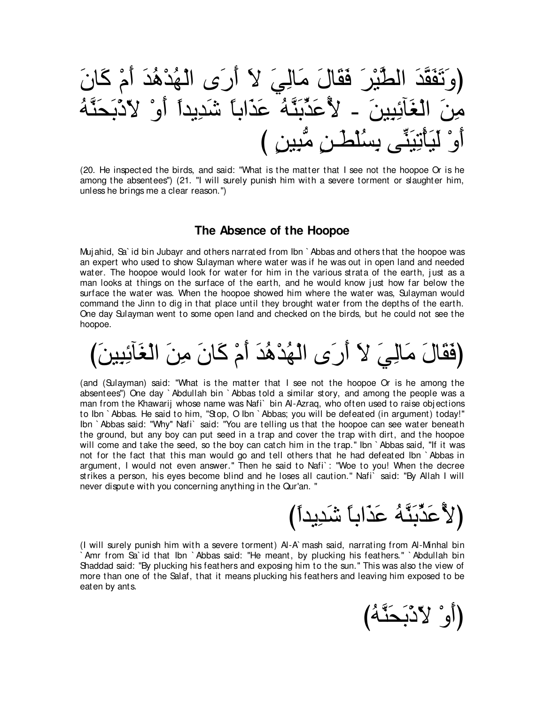بْرِ ۖ فَقَالَ مَالِيَ لا أَرَى الْهُدْهُدَ أَمْ كَا أَعَدِّيَّةُ عَذَاباً شَدِيداً أَوْ أَوْ لَيَأْتِيَنِّـَى بِسُلْطِّـنِ مَّبِينِ )

(20. He inspected the birds, and said: "What is the matter that I see not the hoopoe Or is he among the absentees'') (21. "I will surely punish him with a severe torment or slaughter him, unless he brings me a clear reason.'')

## **The Absence of the Hoopoe**

Muj ahid, Sa` id bin Jubayr and others narrated from Ibn ` Abbas and others that the hoopoe was an expert who used to show Sulayman where water was if he was out in open land and needed water. The hoopoe would look for water for him in the various strata of the earth, just as a man looks at things on the surface of the earth, and he would know just how far below the surface the water was. When the hoopoe showed him where the water was, Sulayman would command the Jinn to dig in that place until they brought water from the depths of the earth. One day Sulayman went to some open land and checked on the birds, but he could not see the hoopoe.

(فَقَالَ مَالِيَ لاَ أَرَى الْهُدْهُدَ أَمْ كَانَ مِنَ الْغَآئِيينَ)

(and (Sulayman) said: "What is the matter that I see not the hoopoe Or is he among the absentees'') One day ` Abdullah bin ` Abbas told a similar story, and among the people was a man from the Khawarij whose name was Nafi` bin Al-Azraq, who often used to raise obj ections to Ibn ` Abbas. He said to him, "Stop, O Ibn ` Abbas; you will be defeated (in argument) today!'' Ibn ` Abbas said: "Why'' Nafi` said: "You are telling us that the hoopoe can see water beneath the ground, but any boy can put seed in a trap and cover the trap with dirt, and the hoopoe will come and take the seed, so the boy can catch him in the trap." Ibn `Abbas said, "If it was not for the fact that this man would go and tell others that he had defeated Ibn ` Abbas in argument, I would not even answer.'' Then he said to Nafi` : "Woe to you! When the decree strikes a person, his eyes become blind and he loses all caution.'' Nafi` said: "By Allah I will never dispute with you concerning anything in the Qur'an. ''

{لاَّعَدِّبَدَّهُ عَذَاباً شَدِيداً**)** 

(أَو<sup>°</sup> لأَدْبَحَثَّهُ)

(I will surely punish him with a severe torment) Al-A` mash said, narrating from Al-Minhal bin ` Amr from Sa` id that Ibn ` Abbas said: "He meant, by plucking his feathers.'' ` Abdullah bin Shaddad said: "By plucking his feathers and exposing him to the sun.'' This was also the view of more than one of the Salaf, that it means plucking his feathers and leaving him exposed to be eaten by ants.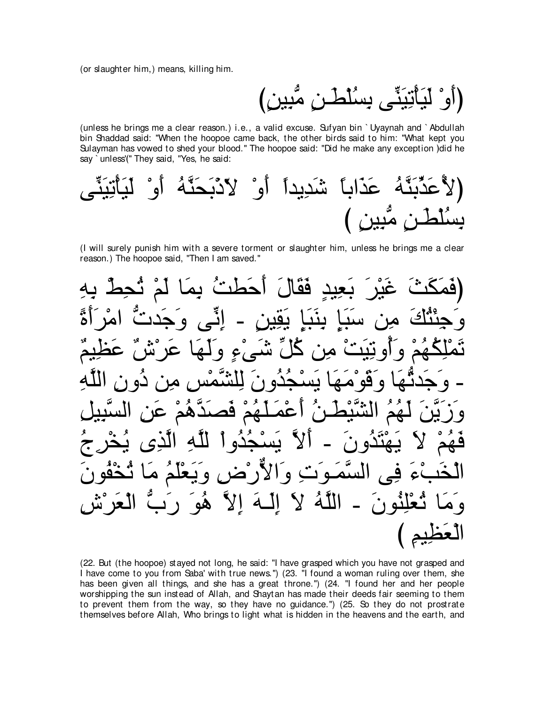(or slaughter him,) means, killing him.

، بِسُلطن مَبِين)

(unless he brings me a clear reason.) i.e., a valid excuse. Sufyan bin `Uyaynah and `Abdullah bin Shaddad said: "When the hoopoe came back, the other birds said to him: "What kept you Sulayman has vowed to shed your blood." The hoopoe said: "Did he make any exception ) did he say `unless'(" They said, "Yes, he said:

(I will surely punish him with a severe torment or slaughter him, unless he brings me a clear reason.) The hoopoe said, "Then I am saved."



(22. But (the hoopoe) stayed not long, he said: "I have grasped which you have not grasped and I have come to you from Saba' with true news.") (23. "I found a woman ruling over them, she has been given all things, and she has a great throne.") (24. "I found her and her people worshipping the sun instead of Allah, and Shaytan has made their deeds fair seeming to them to prevent them from the way, so they have no guidance.") (25. So they do not prostrate themselves before Allah, Who brings to light what is hidden in the heavens and the earth, and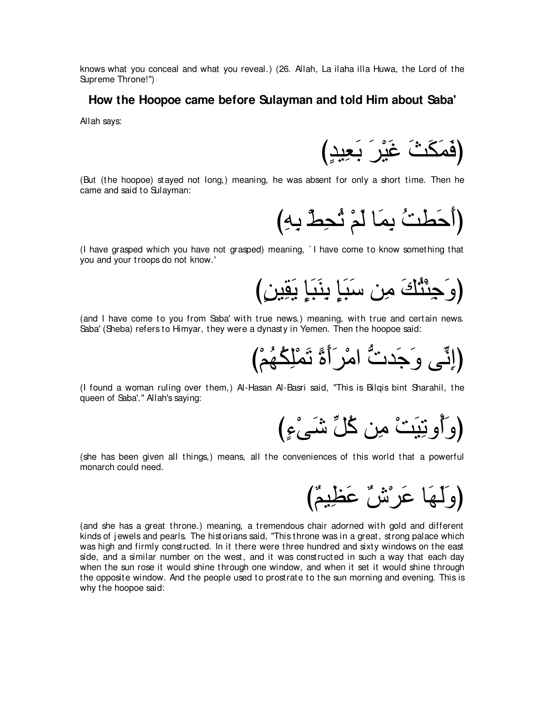knows what you conceal and what you reveal.) (26. Allah, La ilaha illa Huwa, the Lord of the Supreme Throne!'')

#### **How the Hoopoe came before Sulayman and told Him about Saba'**

Allah says:

(فَمَكَثَ غَيْرَ بَعِيدٍ)

(But (the hoopoe) stayed not long,) meaning, he was absent for only a short time. Then he came and said to Sulayman:

(أَحَطَتُ بِمَا لَمْ تُحِطُّ بِهِ)

(I have grasped which you have not grasped) meaning, ` I have come to know something that you and your troops do not know.'

び∃リΒ⌒ボ∠Α ∃み∠ら∠レ⌒よ ∃み∠ら∠シ リ⌒ョ ∠マ⊥わ∇ゃ⌒ィ∠ヱぴ

(and I have come to you from Saba' with true news.) meaning, with true and certain news. Saba' (Sheba) refers to Himyar, they were a dynasty in Yemen. Then the hoopoe said:

び∇ユ⊥ヰ⊥ム⌒ヤ∇ヨ∠ゎ ⇔り∠ぺ∠ゲ∇ョや ぁれギ∠ィ∠ヱ ヴあル⌒まぴ

(I found a woman ruling over them,) Al-Hasan Al-Basri said, "This is Bilqis bint Sharahil, the queen of Saba'.'' Allah's saying:

び∃¬∇ヴ∠セ あモ⊥ミ リ⌒ョ ∇ろ∠Β⌒ゎヱ⊥ぺ∠ヱぴ

(she has been given all things,) means, all the conveniences of this world that a powerful monarch could need.

び∀ユΒ⌒ヌ∠ハ ∀ス∇ゲ∠ハ ゅ∠ヰ∠ャ∠ヱぴ

(and she has a great throne.) meaning, a tremendous chair adorned with gold and different kinds of j ewels and pearls. The historians said, "This throne was in a great, strong palace which was high and firmly constructed. In it there were three hundred and sixty windows on the east side, and a similar number on the west, and it was constructed in such a way that each day when the sun rose it would shine through one window, and when it set it would shine through the opposite window. And the people used to prostrate to the sun morning and evening. This is why the hoopoe said: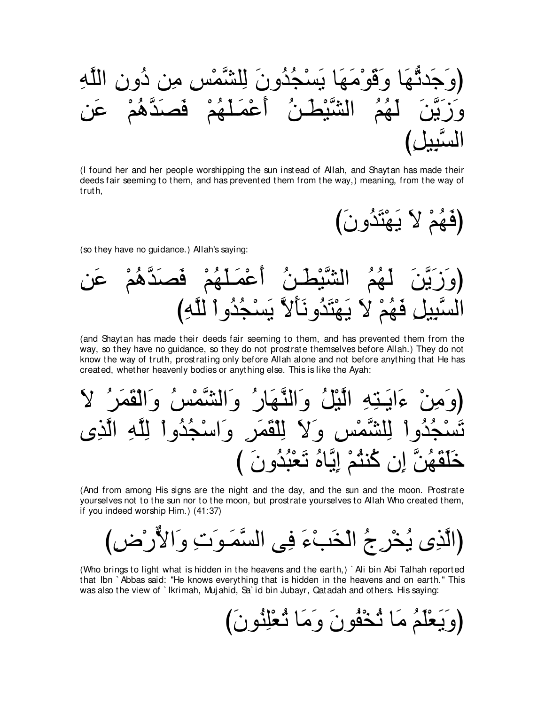(I found her and her people worshipping the sun instead of Allah, and Shaytan has made their deeds fair seeming to them, and has prevented them from the way,) meaning, from the way of truth,

(فَهُمْ لَا يَهْتَذُونَ

(so they have no guidance.) Allah's saying:



(and Shaytan has made their deeds fair seeming to them, and has prevented them from the way, so they have no guidance, so they do not prostrate themselves before Allah.) They do not know the way of truth, prostrating only before Allah alone and not before anything that He has created, whether heavenly bodies or anything else. This is like the Ayah:

(And from among His signs are the night and the day, and the sun and the moon. Prostrate yourselves not to the sun nor to the moon, but prostrate yourselves to Allah Who created them, if you indeed worship Him.) (41:37)

(Who brings to light what is hidden in the heavens and the earth.) `Ali bin Abi Talhah reported that Ibn `Abbas said: "He knows everything that is hidden in the heavens and on earth." This was also the view of `lkrimah, Mujahid, Sa`id bin Jubayr, Qatadah and others. His saying:

(وَيَعْلَمُ مَا ثَخْفُونَ وَمَا ثَعْلِنُونَ)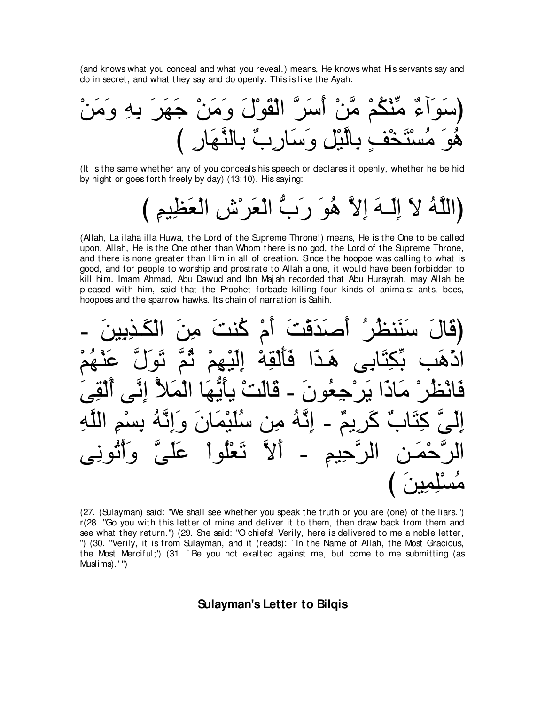(and knows what you conceal and what you reveal.) means, He knows what His servants say and do in secret, and what they say and do openly. This is like the Ayah:

(It is the same whether any of you conceals his speech or declares it openly, whether he be hid by night or goes forth freely by day) (13:10). His saying:

(Allah, La ilaha illa Huwa, the Lord of the Supreme Throne!) means, He is the One to be called upon, Allah, He is the One other than Whom there is no god, the Lord of the Supreme Throne, and there is none greater than Him in all of creation. Since the hoopoe was calling to what is good, and for people to worship and prostrate to Allah alone, it would have been forbidden to kill him. Imam Ahmad, Abu Dawud and Ibn Majah recorded that Abu Hurayrah, may Allah be pleased with him, said that the Prophet forbade killing four kinds of animals: ants, bees, hoopoes and the sparrow hawks. Its chain of narration is Sahih.

(27. (Sulayman) said: "We shall see whether you speak the truth or you are (one) of the liars.") r(28. "Go you with this letter of mine and deliver it to them, then draw back from them and see what they return.") (29. She said: "O chiefs! Verily, here is delivered to me a noble letter, ") (30. "Verily, it is from Sulayman, and it (reads): `In the Name of Allah, the Most Gracious, the Most Merciful;') (31. `Be you not exalted against me, but come to me submitting (as Muslims).'")

## **Sulayman's Letter to Bilgis**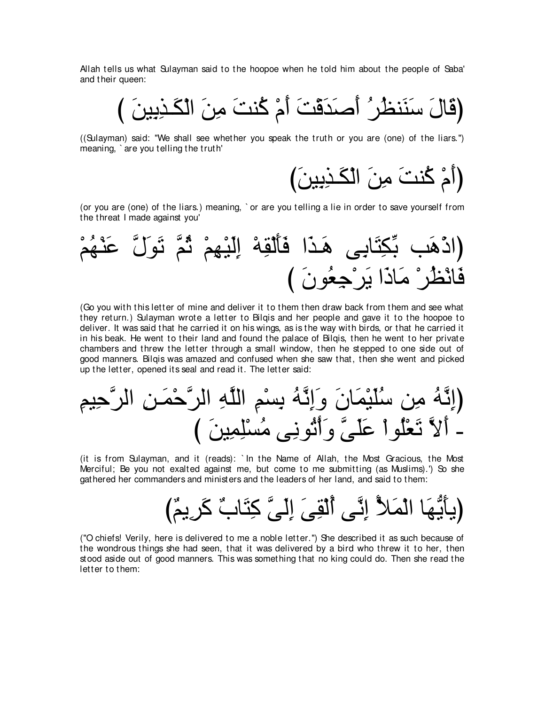Allah tells us what Sulayman said to the hoopoe when he told him about the people of Saba' and their queen:

び ∠リΒ⌒よ⌒グ⇒∠ム∇ャや ∠リ⌒ョ ∠ろレ⊥ミ ∇ュ∠ぺ ∠ろ∇ホ∠ギ∠タ∠ぺ ⊥ゲ⊥ヌレ∠レ∠シ ∠メゅ∠ホぴ

((Sulayman) said: "We shall see whether you speak the truth or you are (one) of the liars.'') meaning, ` are you telling the truth'

(أمْ كُنتَ م*ِن*َ الْكَـٰذِبِينَ)

(or you are (one) of the liars.) meaning, ` or are you telling a lie in order to save yourself from the threat I made against you'



(Go you with this letter of mine and deliver it to them then draw back from them and see what they return.) Sulayman wrote a letter to Bilqis and her people and gave it to the hoopoe to deliver. It was said that he carried it on his wings, as is the way with birds, or that he carried it in his beak. He went to their land and found the palace of Bilqis, then he went to her private chambers and threw the letter through a small window, then he stepped to one side out of good manners. Bilqis was amazed and confused when she saw that, then she went and picked up the letter, opened its seal and read it. The letter said:

⌒ユΒ⌒ェzゲャや ⌒リ⇒∠ヨ∇ェzゲャや ⌒ヮzヤャや ⌒ユ∇ジ⌒よ ⊥ヮzル⌒ま∠ヱ ∠ラゅ∠ヨ∇Β∠ヤ⊥シ リ⌒ョ ⊥ヮzル⌒まぴ び ∠リΒ⌒ヨ⌒ヤ∇ジ⊥ョ ヴ⌒ルヲ⊥ゎ∇ぺ∠ヱ zヴ∠ヤ∠ハ ∇やヲ⊥ヤ∇バ∠ゎ zΙ∠ぺ -

(it is from Sulayman, and it (reads): ` In the Name of Allah, the Most Gracious, the Most Merciful; Be you not exalted against me, but come to me submitting (as Muslims).') So she gathered her commanders and ministers and the leaders of her land, and said to them:

び∀ユΑ⌒ゲ∠ミ ∀ゆゅ∠わ⌒ミ zヴ∠ャ⌒ま ∠ヴ⌒ボ∇ャ⊥ぺ ヴzル⌒ま ⊥Ζ∠ヨ∇ャや ゅ∠ヰぁΑ∠ほΑぴ

("O chiefs! Verily, here is delivered to me a noble letter.'') She described it as such because of the wondrous things she had seen, that it was delivered by a bird who threw it to her, then stood aside out of good manners. This was something that no king could do. Then she read the letter to them: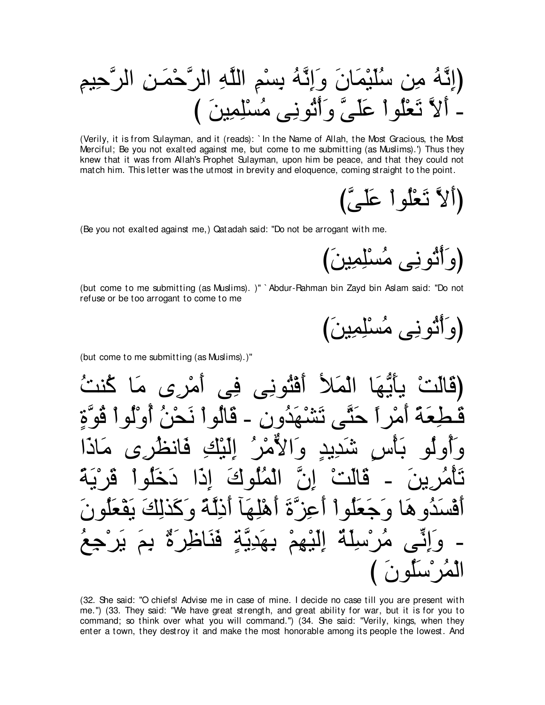(Verily, it is from Sulayman, and it (reads): `In the Name of Allah, the Most Gracious, the Most Merciful; Be you not exalted against me, but come to me submitting (as Muslims).') Thus they knew that it was from Allah's Prophet Sulayman, upon him be peace, and that they could not match him. This letter was the utmost in brevity and eloquence, coming straight to the point.

(Be you not exalted against me,) Qatadah said: "Do not be arrogant with me.

(but come to me submitting (as Muslims). )" ` Abdur-Pahman bin Zayd bin Aslam said: "Do not refuse or be too arrogant to come to me

(but come to me submitting (as Muslims).)"

(32. She said: "O chiefs! Advise me in case of mine. I decide no case till you are present with me.") (33. They said: "We have great strength, and great ability for war, but it is for you to command; so think over what you will command.") (34. She said: "Verily, kings, when they enter a town, they destroy it and make the most honorable among its people the lowest. And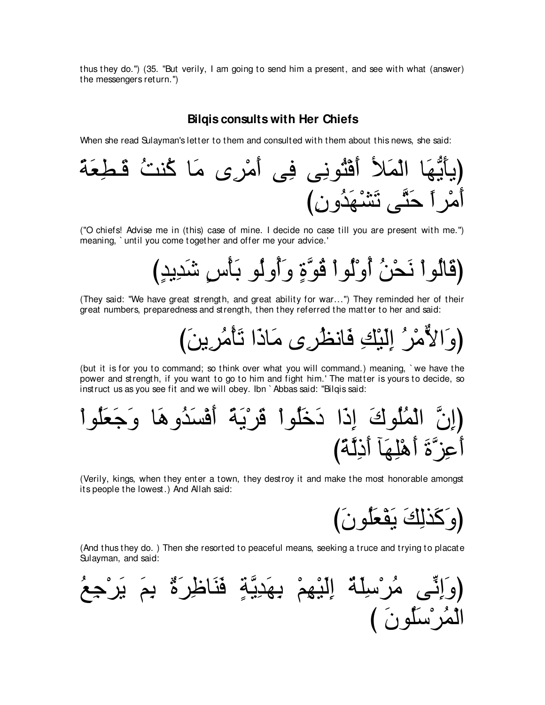thus they do.'') (35. "But verily, I am going to send him a present, and see with what (answer) the messengers return.'')

# **Bilqis consults with Her Chiefs**

When she read Sulayman's letter to them and consulted with them about this news, she said:



("O chiefs! Advise me in (this) case of mine. I decide no case till you are present with me.'') meaning, ` until you come together and offer me your advice.'

び∃ギΑ⌒ギ∠セ ∃サ∇ほ∠よ ヲ⊥ャヱ⊥ぺ∠ヱ ∃りzヲ⊥ホ ∇やヲ⊥ャ∇ヱ⊥ぺ ⊥リ∇エ∠ル ∇やヲ⊥ャゅ∠ホぴ

(They said: "We have great strength, and great ability for war...'') They reminded her of their great numbers, preparedness and strength, then they referred the matter to her and said:

(وَالأَمْرُ اِلّبْكِ فَانظَر*ِى* مَاذَا تَأْمُرِينَ)

(but it is for you to command; so think over what you will command.) meaning, ` we have the power and strength, if you want to go to him and fight him.' The matter is yours to decide, so instruct us as you see fit and we will obey. Ibn ` Abbas said: "Bilqis said:

∇やヲ⊥ヤ∠バ∠ィ∠ヱ ゅ∠ワヱ⊥ギ∠ジ∇プ∠ぺ ⇔る∠Α∇ゲ∠ホ ∇やヲ⊥ヤ∠カ∠キ や∠ク⌒ま ∠ポヲ⊥ヤ⊥ヨ∇ャや zラ⌒まぴ び⇔るzャ⌒ク∠ぺ べ∠ヰ⌒ヤ∇ワ∠ぺ ∠りzゴ⌒ハ∠ぺ

(Verily, kings, when they enter a town, they destroy it and make the most honorable amongst its people the lowest.) And Allah said:

び∠ラヲ⊥ヤ∠バ∇ヘ∠Α ∠マ⌒ャグ∠ミ∠ヱぴ

(And thus they do. ) Then she resorted to peaceful means, seeking a truce and trying to placate Sulayman, and said:

(وَالِئّى مُرُسِلَةٌ إِلَبِّهِمُ بِهَدِيَّةٍ فَنَافَلِرَهٌُ يَمَ بَرَّجِعُ
$$
\overrightarrow{A}
$$
 اَلَدِّهِمُ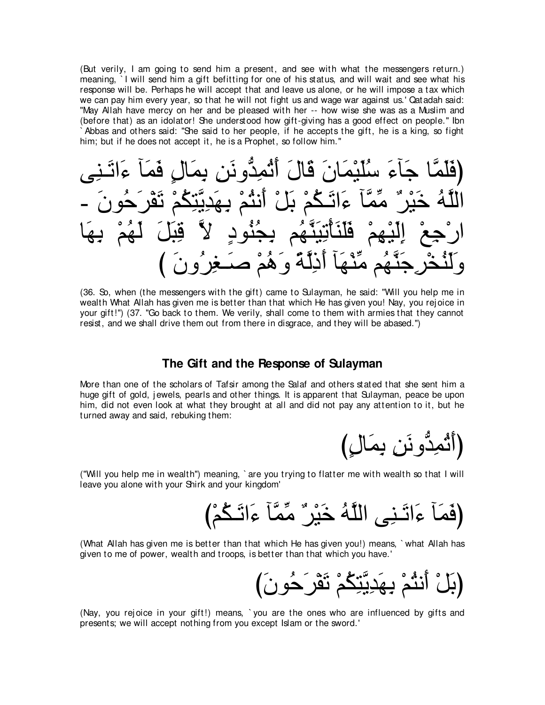(But verily, I am going to send him a present, and see with what the messengers return.) meaning. I will send him a gift befitting for one of his status, and will wait and see what his response will be. Perhaps he will accept that and leave us alone, or he will impose a tax which we can pay him every year, so that he will not fight us and wage war against us.' Qatadah said: "May Allah have mercy on her and be pleased with her -- how wise she was as a Muslim and (before that) as an idolator! She understood how gift-giving has a good effect on people." Ibn Abbas and others said: "She said to her people, if he accepts the gift, he is a king, so fight him; but if he does not accept it, he is a Prophet, so follow him."

(36. So, when (the messengers with the gift) came to Sulayman, he said: "Will you help me in wealth What Allah has given me is better than that which He has given you! Nay, you rejoice in your gift!") (37. "Go back to them. We verily, shall come to them with armies that they cannot resist, and we shall drive them out from there in disgrace, and they will be abased.")

## The Gift and the Response of Sulayman

More than one of the scholars of Tafsir among the Salaf and others stated that she sent him a huge gift of gold, jewels, pearls and other things. It is apparent that Sulayman, peace be upon him, did not even look at what they brought at all and did not pay any attention to it, but he turned away and said, rebuking them:

("Will you help me in wealth") meaning, `are you trying to flatter me with wealth so that I will leave you alone with your Shirk and your kingdom'

(What Allah has given me is better than that which He has given you!) means, `what Allah has given to me of power, wealth and troops, is better than that which you have.'

(Nay, you rejoice in your gift!) means, `you are the ones who are influenced by gifts and presents; we will accept nothing from you except Islam or the sword.'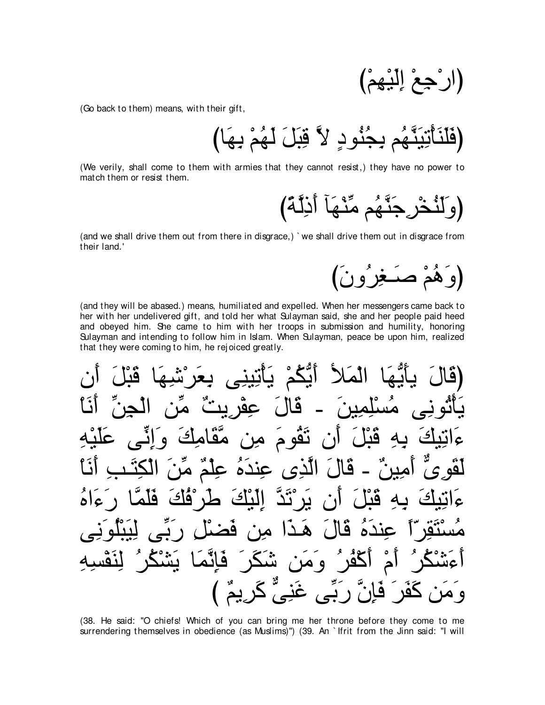(Go back to them) means, with their gift,

(We verily, shall come to them with armies that they cannot resist.) they have no power to match them or resist them.



(and we shall drive them out from there in disgrace,) `we shall drive them out in disgrace from their land.'



(and they will be abased.) means, humiliated and expelled. When her messengers came back to her with her undelivered gift, and told her what Sulayman said, she and her people paid heed and obeyed him. She came to him with her troops in submission and humility, honoring Sulayman and intending to follow him in Islam. When Sulayman, peace be upon him, realized that they were coming to him, he rejoiced greatly.

الْمَلاً أَيَّكُمْ يَأْتِينِ فا  $Q$ 9 فيا نقه ج  $\blacktriangle$ مە م ما الدى عنده عل <u>ہ</u>  $\mathfrak{c}$ ۱۹ A  $\Delta$ فد هدا  $\overline{1}$ فانما  $\mathcal{L}$  $25$ ݽ و مرت  $\Delta$ ^0

(38. He said: "O chiefs! Which of you can bring me her throne before they come to me surrendering themselves in obedience (as Muslims)") (39. An `lfrit from the Jinn said: "I will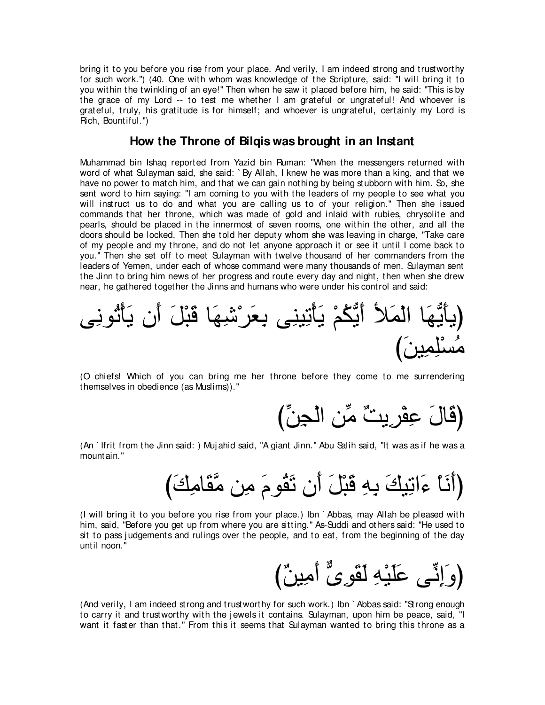bring it to you before you rise from your place. And verily, I am indeed strong and trustworthy for such work.'') (40. One with whom was knowledge of the Scripture, said: "I will bring it to you within the twinkling of an eye!'' Then when he saw it placed before him, he said: "This is by the grace of my Lord -- to test me whether I am grateful or ungrateful! And whoever is grateful, truly, his gratitude is for himself; and whoever is ungrateful, certainly my Lord is Rich, Bountiful.'')

# **How the Throne of Bilqis was brought in an Instant**

Muhammad bin Ishaq reported from Yazid bin Ruman: "When the messengers returned with word of what Sulayman said, she said: ` By Allah, I knew he was more than a king, and that we have no power to match him, and that we can gain nothing by being stubborn with him. So, she sent word to him saying: "I am coming to you with the leaders of my people to see what you will instruct us to do and what you are calling us to of your religion.'' Then she issued commands that her throne, which was made of gold and inlaid with rubies, chrysolite and pearls, should be placed in the innermost of seven rooms, one within the other, and all the doors should be locked. Then she told her deputy whom she was leaving in charge, "Take care of my people and my throne, and do not let anyone approach it or see it until I come back to you.'' Then she set off to meet Sulayman with twelve thousand of her commanders from the leaders of Yemen, under each of whose command were many thousands of men. Sulayman sent the Jinn to bring him news of her progress and route every day and night, then when she drew near, he gathered together the Jinns and humans who were under his control and said:

ヴ⌒ルヲ⊥ゎ∇ほ∠Α ラ∠ぺ ∠モ∇ら∠ホ ゅ∠ヰ⌒セ∇ゲ∠バ⌒よ ヴ⌒レΒ⌒ゎ∇ほ∠Α ∇ユ⊥ムぁΑ∠ぺ Ζ∠ヨ∇ャや ゅ∠ヰぁΑ∠ほΑぴ び∠リΒ⌒ヨ⌒ヤ∇ジ⊥ョ

(O chiefs! Which of you can bring me her throne before they come to me surrendering themselves in obedience (as Muslims)).''

びあリ⌒イ∇ャや リあョ ∀ろΑ⌒ゲ∇ヘ⌒ハ ∠メゅ∠ホぴ

(An ` Ifrit from the Jinn said: ) Muj ahid said, "A giant Jinn.'' Abu Salih said, "It was as if he was a mountain.''

び∠マ⌒ョゅ∠ボzョ リ⌒ョ ∠ュヲ⊥ボ∠ゎ ラ∠ぺ ∠モ∇ら∠ホ ⌒ヮ⌒よ ∠マΒ⌒ゎや∠¬ ∇ゅ∠ル∠ぺぴ

(I will bring it to you before you rise from your place.) Ibn ` Abbas, may Allah be pleased with him, said, "Before you get up from where you are sitting.'' As-Suddi and others said: "He used to sit to pass j udgements and rulings over the people, and to eat, from the beginning of the day until noon.''

び∀リΒ⌒ョ∠ぺ xン⌒ヲ∠ボ∠ャ ⌒ヮ∇Β∠ヤ∠ハ ヴあル⌒ま∠ヱぴ

(And verily, I am indeed strong and trustworthy for such work.) Ibn ` Abbas said: "Strong enough to carry it and trustworthy with the jewels it contains. Sulayman, upon him be peace, said, "I want it faster than that.'' From this it seems that Sulayman wanted to bring this throne as a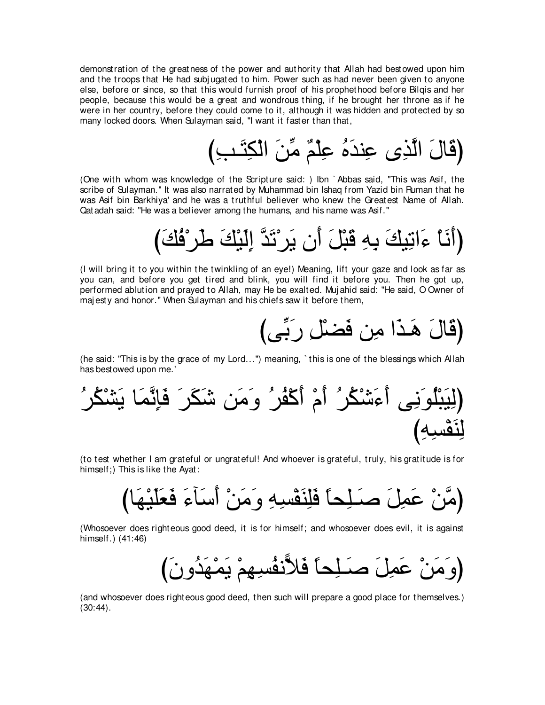demonstration of the greatness of the power and authority that Allah had bestowed upon him and the troops that He had subj ugated to him. Power such as had never been given to anyone else, before or since, so that this would furnish proof of his prophethood before Bilqis and her people, because this would be a great and wondrous thing, if he brought her throne as if he were in her country, before they could come to it, although it was hidden and protected by so many locked doors. When Sulayman said, "I want it faster than that,

び⌒ょ⇒∠わ⌒ム∇ャや ∠リあョ ∀ユ∇ヤ⌒ハ ⊥ロ∠ギレ⌒ハ ン⌒グzャや ∠メゅ∠ホぴ

(One with whom was knowledge of the Scripture said: ) Ibn ` Abbas said, "This was Asif, the scribe of Sulayman.'' It was also narrated by Muhammad bin Ishaq from Yazid bin Ruman that he was Asif bin Barkhiya' and he was a truthful believer who knew the Greatest Name of Allah. Qatadah said: "He was a believer among the humans, and his name was Asif.''

び∠マ⊥プ∇ゲ∠デ ∠マ∇Β∠ャ⌒ま zギ∠ゎ∇ゲ∠Α ラ∠ぺ ∠モ∇ら∠ホ ⌒ヮ⌒よ ∠マΒ⌒ゎや∠¬ ∇ゅ∠ル∠ぺぴ

(I will bring it to you within the twinkling of an eye!) Meaning, lift your gaze and look as far as you can, and before you get tired and blink, you will find it before you. Then he got up, performed ablution and prayed to Allah, may He be exalted. Muj ahid said: "He said, O Owner of maj esty and honor.'' When Sulayman and his chiefs saw it before them,

びヴあよ∠ケ ⌒モ∇ツ∠プ リ⌒ョ や∠グ⇒∠ワ ∠メゅ∠ホぴ

(he said: "This is by the grace of my Lord...'') meaning, ` this is one of the blessings which Allah has bestowed upon me.'

⊥ゲ⊥ム∇ゼ∠Α ゅ∠ヨzル⌒み∠プ ∠ゲ∠ム∠セ リ∠ョ∠ヱ ⊥ゲ⊥ヘ∇ミ∠ぺ ∇ュ∠ぺ ⊥ゲ⊥ム∇セ∠¬∠ぺ ヴ⌒ル∠ヲ⊥ヤ∇ら∠Β⌒ャぴ び⌒ヮ⌒ジ∇ヘ∠レ⌒ャ

(to test whether I am grateful or ungrateful! And whoever is grateful, truly, his gratitude is for himself;) This is like the Ayat:

びゅ∠ヰ∇Β∠ヤ∠バ∠プ ∠¬べ∠シ∠ぺ ∇リ∠ョ∠ヱ ⌒ヮ⌒ジ∇ヘ∠レ⌒ヤ∠プ ⇔ゅエ⌒ヤ⇒∠タ ∠モ⌒ヨ∠ハ ∇リzョぴ

(Whosoever does righteous good deed, it is for himself; and whosoever does evil, it is against himself.) (41:46)

び∠ラヱ⊥ギ∠ヰ∇ヨ∠Α ∇ユ⌒ヰ⌒ジ⊥ヘル6Κ∠プ ⇔ゅエ⌒ヤ⇒∠タ ∠モ⌒ヨ∠ハ ∇リ∠ョ∠ヱぴ

(and whosoever does righteous good deed, then such will prepare a good place for themselves.)  $(30:44)$ .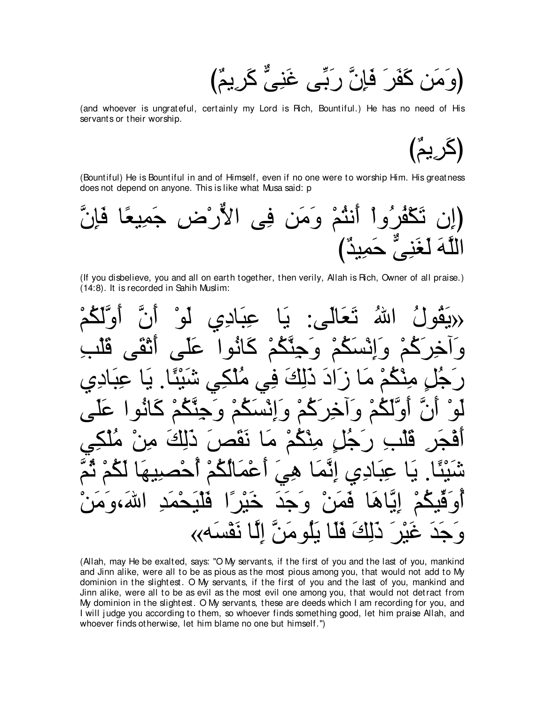(و َمَنِ كَفَرٍ َ فَإِنَّ ر<sup>َ بِّ</sup>بِي غَنِيُّ كَرِيمٌ)

(and whoever is ungrateful, certainly my Lord is Rich, Bountiful.) He has no need of His servants or their worship.

(كَرِيمٌ)

(Bountiful) He is Bountiful in and of Himself, even if no one were to worship Him. His greatness does not depend on anyone. This is like what Musa said: p



(If you disbelieve, you and all on earth together, then verily, Allah is Rich, Owner of all praise.) (14:8). It is recorded in Sahih Muslim:



(Allah, may He be exalted, says: "O My servants, if the first of you and the last of you, mankind and Jinn alike, were all to be as pious as the most pious among you, that would not add to My dominion in the slightest. O My servants, if the first of you and the last of you, mankind and Jinn alike, were all to be as evil as the most evil one among you, that would not detract from My dominion in the slightest. O My servants, these are deeds which I am recording for you, and I will judge you according to them, so whoever finds something good, let him praise Allah, and whoever finds otherwise, let him blame no one but himself.'')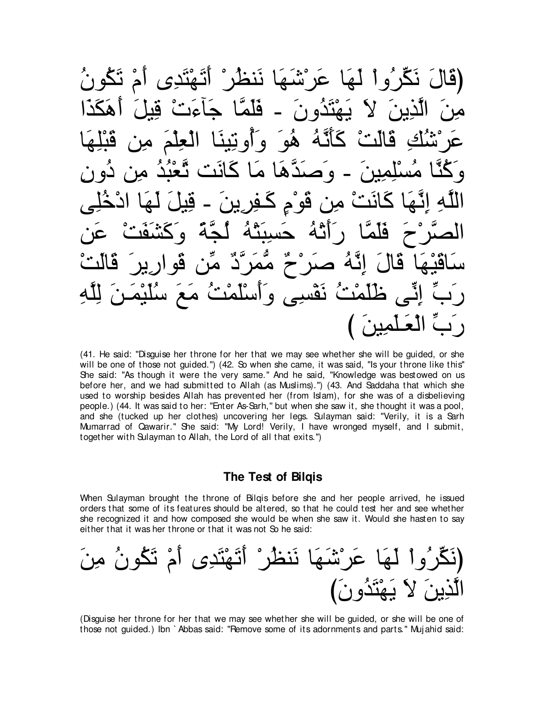عَر مُنْبَ (قَالَ نَكِّرٌ وَ أَلَمَ ام ٽگون فلما متده ن  $\blacktriangle$ ھە  $\ddot{\bullet}$  $\tilde{\bm{\varsigma}}$  $\mathbf{A}$ فو م قہ ä هه نقسي  $\bullet$ 

(41. He said: "Disquise her throne for her that we may see whether she will be quided, or she will be one of those not guided.") (42. So when she came, it was said, "Is your throne like this" She said: "As though it were the very same." And he said, "Knowledge was bestowed on us before her, and we had submitted to Allah (as Muslims).") (43. And Saddaha that which she used to worship besides Allah has prevented her (from Islam), for she was of a disbelieving people.) (44. It was said to her: "Enter As-Sarh," but when she saw it, she thought it was a pool, and she (tucked up her clothes) uncovering her legs. Sulayman said: "Verily, it is a Sarh Mumarrad of Qawarir." She said: "My Lord! Verily, I have wronged myself, and I submit, together with Sulayman to Allah, the Lord of all that exits.")

## The Test of Bilgis

When Sulayman brought the throne of Bilgis before she and her people arrived, he issued orders that some of its features should be altered, so that he could test her and see whether she recognized it and how composed she would be when she saw it. Would she hasten to say either that it was her throne or that it was not So he said:

(Disquise her throne for her that we may see whether she will be quided, or she will be one of those not guided.) Ibn `Abbas said: "Remove some of its adornments and parts." Mujahid said: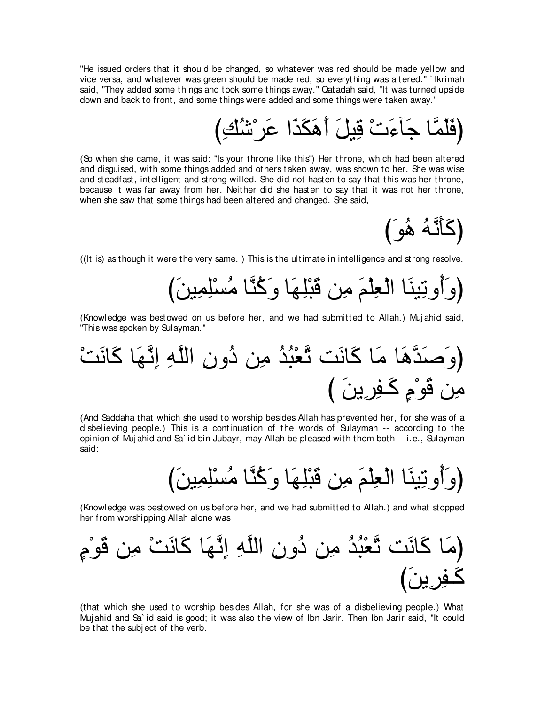"He issued orders that it should be changed, so whatever was red should be made yellow and vice versa, and whatever was green should be made red, so everything was altered.'' ` Ikrimah said, "They added some things and took some things away.'' Qatadah said, "It was turned upside down and back to front, and some things were added and some things were taken away.''

(فَلَمَّا جَآءَتْ قِيلَ أَهَكَذَا عَر<sup>ْ</sup>شْكِ)

(So when she came, it was said: "Is your throne like this'') Her throne, which had been altered and disguised, with some things added and others taken away, was shown to her. She was wise and steadfast, intelligent and strong-willed. She did not hasten to say that this was her throne, because it was far away from her. Neither did she hasten to say that it was not her throne, when she saw that some things had been altered and changed. She said,

(كَأَنَّهُ هُوَ)

((It is) as though it were the very same. ) This is the ultimate in intelligence and strong resolve.

び∠リΒ⌒ヨ⌒ヤ∇ジ⊥ョ ゅzレ⊥ミ∠ヱ ゅ∠ヰ⌒ヤ∇ら∠ホ リ⌒ョ ∠ユ∇ヤ⌒バ∇ャや ゅ∠レΒ⌒ゎヱ⊥ぺ∠ヱぴ

(Knowledge was bestowed on us before her, and we had submitted to Allah.) Muj ahid said, "This was spoken by Sulayman.''

∇ろ∠ルゅ∠ミ ゅ∠ヰzル⌒ま ⌒ヮzヤャや ⌒ラヱ⊥キ リ⌒ョ ⊥ギ⊥ら∇バzゎ ろ∠ルゅ∠ミ ゅ∠ョ ゅ∠ワzギ∠タ∠ヱぴ び ∠リΑ⌒ゲ⌒ヘ⇒∠ミ ∃ュ∇ヲ∠ホ リ⌒ョ

(And Saddaha that which she used to worship besides Allah has prevented her, for she was of a disbelieving people.) This is a continuation of the words of Sulayman -- according to the opinion of Muj ahid and Sa` id bin Jubayr, may Allah be pleased with them both -- i.e., Sulayman said:

(وَأَوتِينَا الْعِلْمَ مِن قَبْلِهَا وَكُنَّا مُسْلِمِينَ)

(Knowledge was bestowed on us before her, and we had submitted to Allah.) and what stopped her from worshipping Allah alone was

∃ュ∇ヲ∠ホ リ⌒ョ ∇ろ∠ルゅ∠ミ ゅ∠ヰzル⌒ま ⌒ヮzヤャや ⌒ラヱ⊥キ リ⌒ョ ⊥ギ⊥ら∇バzゎ ろ∠ルゅ∠ミ ゅ∠ョぴ び∠リΑ⌒ゲ⌒ヘ⇒∠ミ

(that which she used to worship besides Allah, for she was of a disbelieving people.) What Muj ahid and Sa` id said is good; it was also the view of Ibn Jarir. Then Ibn Jarir said, "It could be that the subj ect of the verb.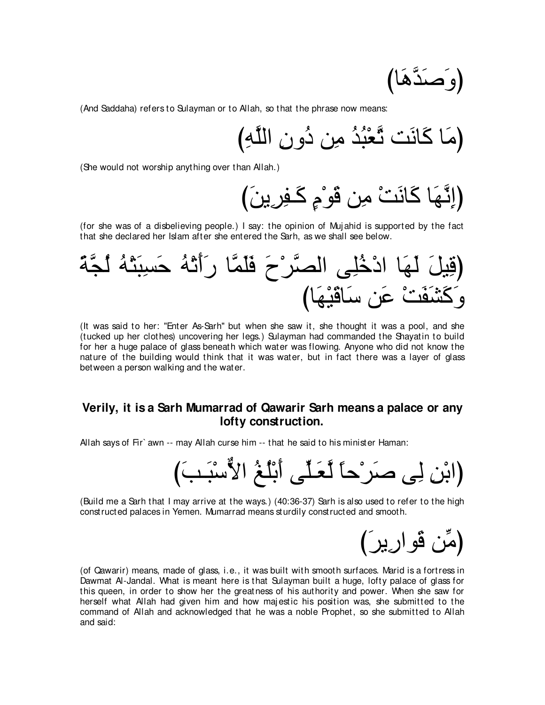$$
\left(\tilde{\mathsf{card}}\,\tilde{\mathsf{ad}}\right)
$$

(And Saddaha) refers to Sulayman or to Allah, so that the phrase now means:

び⌒ヮzヤャや ⌒ラヱ⊥キ リ⌒ョ ⊥ギ⊥ら∇バzゎ ろ∠ルゅ∠ミ ゅ∠ョぴ

(She would not worship anything over than Allah.)

び∠リΑ⌒ゲ⌒ヘ⇒∠ミ ∃ュ∇ヲ∠ホ リ⌒ョ ∇ろ∠ルゅ∠ミ ゅ∠ヰzル⌒まぴ

(for she was of a disbelieving people.) I say: the opinion of Mujahid is supported by the fact that she declared her Islam after she entered the Sarh, as we shall see below.



(It was said to her: "Enter As-Sarh'' but when she saw it, she thought it was a pool, and she (tucked up her clothes) uncovering her legs.) Sulayman had commanded the Shayatin to build for her a huge palace of glass beneath which water was flowing. Anyone who did not know the nature of the building would think that it was water, but in fact there was a layer of glass between a person walking and the water.

# **Verily, it is a Sarh Mumarrad of Qawarir Sarh means a palace or any lofty construction.**

Allah says of Fir` awn -- may Allah curse him -- that he said to his minister Haman:

び∠ょ⇒∠ら∇シxΙや ⊥ヒ⊥ヤ∇よ∠ぺ ヴあヤ⇒∠バzャ ⇔ゅェ∇ゲ∠タ ヴ⌒ャ ⌒リ∇よやぴ

(Build me a Sarh that I may arrive at the ways.) (40:36-37) Sarh is also used to refer to the high constructed palaces in Yemen. Mumarrad means sturdily constructed and smooth.

(مِّن ڤُوارِير)

(of Qawarir) means, made of glass, i.e., it was built with smooth surfaces. Marid is a fortress in Dawmat Al-Jandal. What is meant here is that Sulayman built a huge, lofty palace of glass for this queen, in order to show her the greatness of his authority and power. When she saw for herself what Allah had given him and how majestic his position was, she submitted to the command of Allah and acknowledged that he was a noble Prophet, so she submitted to Allah and said: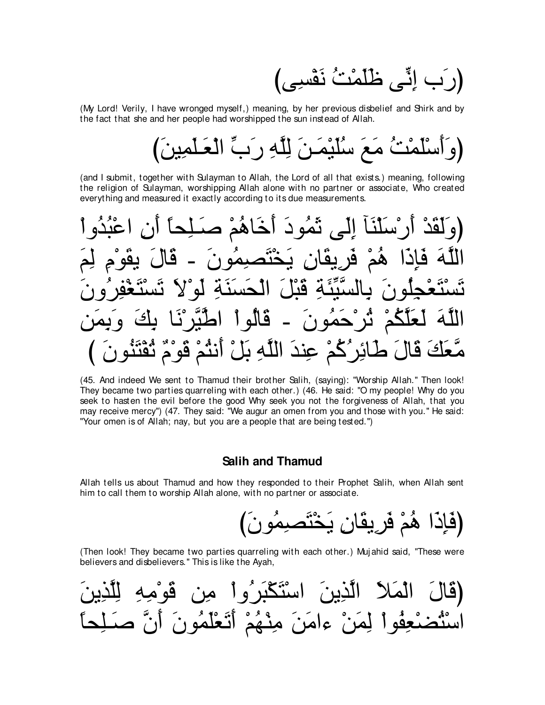(رَبِ إِنِّي ظُلَّمْتُ نَفْسِي

(My Lord! Verily, I have wronged myself,) meaning, by her previous disbelief and Shirk and by the fact that she and her people had worshipped the sun instead of Allah.

(and I submit, together with Sulayman to Allah, the Lord of all that exists.) meaning, following the religion of Sulayman, worshipping Allah alone with no partner or associate, Who created everything and measured it exactly according to its due measurements.

أَرْ سَلَنَآ إِلَى نَّمُو دَ أَخَاهُمْ صَـٰلِحاً َ و لَقَدٌ ڎٞڷؘڝؠڡؙٛۅڹؘۘ ۉ ِفْرِ بِقَانٍ بَ مَّتَّنَّهُ قَتْلَ الْحَسَنَةِ ْحَمُونَ ۔ قَالُواْ اطْيِّرْنَا  $SL<sub>2</sub>$ ائِرُكُمْ عِنْدَ اللَّهِ بَلْ أَنْثُمْ قَوْمٌ ثُقْتَنُور مُعَكَ قَا

(45. And indeed We sent to Thamud their brother Salih, (saying): "Worship Allah." Then look! They became two parties quarreling with each other.) (46. He said: "O my people! Why do you seek to hasten the evil before the good Why seek you not the forgiveness of Allah, that you may receive mercy") (47. They said: "We augur an omen from you and those with you." He said: "Your omen is of Allah; nay, but you are a people that are being tested.")

#### **Salih and Thamud**

Allah tells us about Thamud and how they responded to their Prophet Salih, when Allah sent him to call them to worship Allah alone, with no partner or associate.

(فَإِذَا هُمْ فَرِيقَانِ يَخْتَصِمُو نَ)

(Then look! They became two parties quarreling with each other.) Mujahid said, "These were believers and disbelievers." This is like the Ayah,